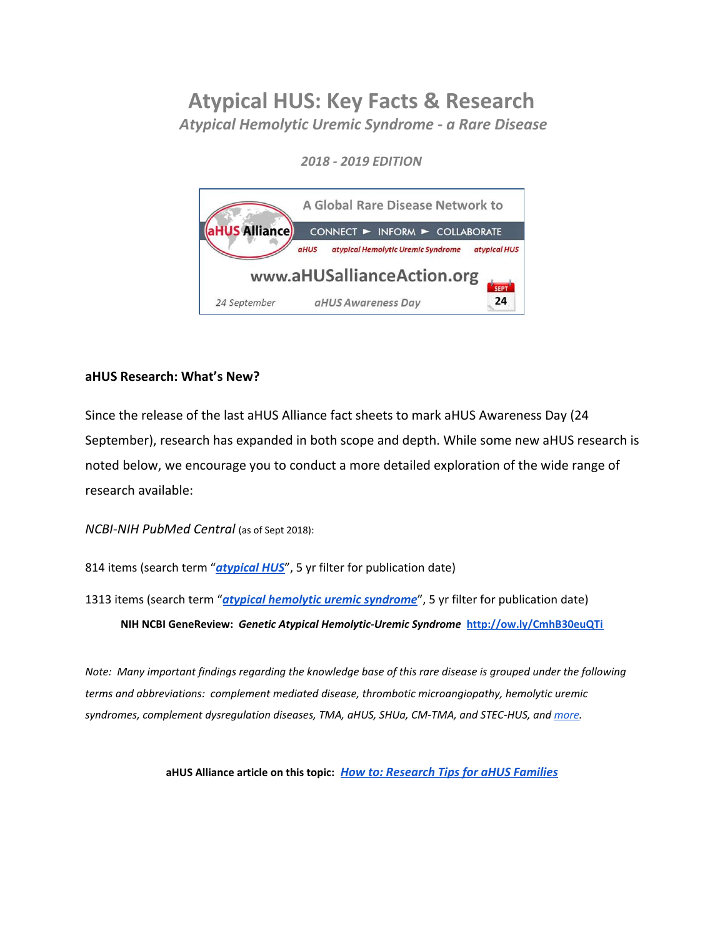# **Atypical HUS: Key Facts & Research**

*Atypical Hemolytic Uremic Syndrome - a Rare Disease*

*2018 - 2019 EDITION*



# **aHUS Research: What's New?**

Since the release of the last aHUS Alliance fact sheets to mark aHUS Awareness Day (24 September), research has expanded in both scope and depth. While some new aHUS research is noted below, we encourage you to conduct a more detailed exploration of the wide range of research available:

*NCBI-NIH PubMed Central* (as of Sept 2018):

814 items (search term "*[atypical](https://www.ncbi.nlm.nih.gov/pmc/?term=atypical+HUS) HUS*", 5 yr filter for publication date)

1313 items (search term "*atypical [hemolytic](https://www.ncbi.nlm.nih.gov/pmc/?term=atypical+hemolytic+uremic+syndrome) uremic syndrome*", 5 yr filter for publication date) **NIH NCBI GeneReview:** *Genetic Atypical Hemolytic-Uremic Syndrome* **<http://ow.ly/CmhB30euQTi>**

Note: Many important findings regarding the knowledge base of this rare disease is grouped under the following *terms and abbreviations: complement mediated disease, thrombotic microangiopathy, hemolytic uremic syndromes, complement dysregulation diseases, TMA, aHUS, SHUa, CM-TMA, and STEC-HUS, and [more.](http://www.ahusallianceaction.org/a-rose-by-any-other-name-whats-the-fuss/)*

**aHUS Alliance article on this topic:** *[H](http://www.ahusallianceaction.org/atypical-hus-find-ahus-research/)ow to: [Research](http://www.ahusallianceaction.org/atypical-hus-find-ahus-research/) Tips for aHUS Families*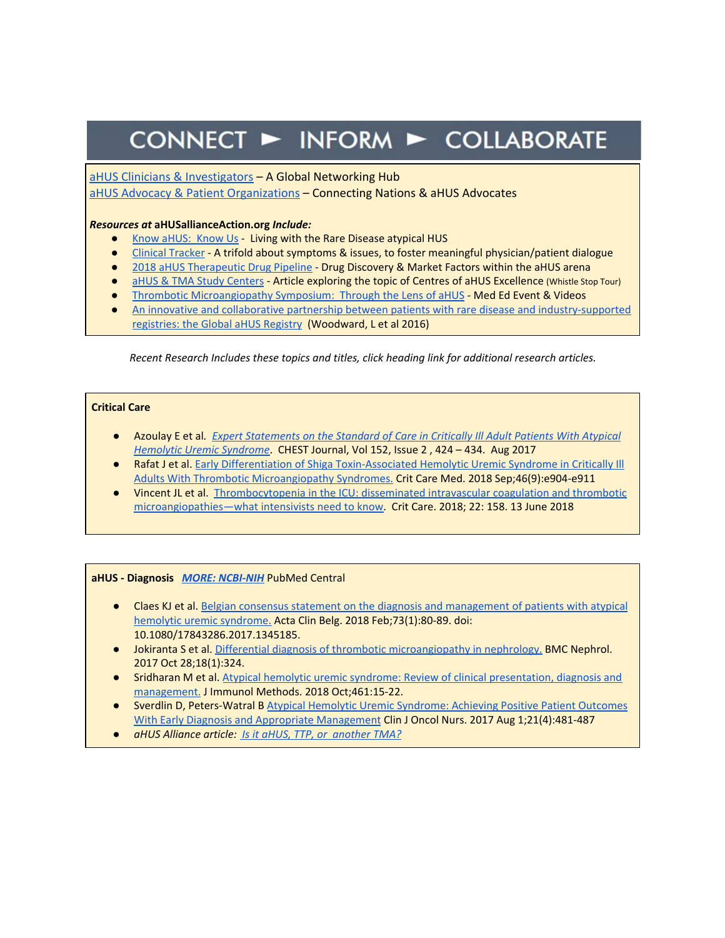# CONNECT > INFORM > COLLABORATE

### aHUS Clinicians & [Investigators](http://www.ahusallianceaction.org/ahus-clinicians-investigators/) – A Global Networking Hub

aHUS Advocacy & Patient [Organizations](http://www.ahusallianceaction.org/patient-associations/) – Connecting Nations & aHUS Advocates

#### *Resources at* **aHUSallianceAction.org** *Include:*

- Know [aHUS:](http://www.ahusallianceaction.org/know-ahus-know-us/) Know Us Living with the Rare Disease atypical HUS
- Clinical [Tracker](http://www.ahusallianceaction.org/wp-content/uploads/2017/09/Clinical-Tracker.pdf) A trifold about symptoms & issues, to foster meaningful physician/patient dialogue
- 2018 aHUS [Therapeutic](http://www.ahusallianceaction.org/atypical-hus-therapeutic-drug-pipeline-in-2018/) Drug Pipeline Drug Discovery & Market Factors within the aHUS arena
- aHUS & TMA Study [Centers](http://www.ahusallianceaction.org/ahus-tma-study-centers/) Article exploring the topic of Centres of aHUS Excellence (Whistle Stop Tour)
- **•** Thrombotic [Microangiopathy](http://www.ahusallianceaction.org/2251-2/) Symposium: Through the Lens of aHUS Med Ed Event & Videos
- An innovative and collaborative partnership between patients with rare disease and [industry-supported](https://www.ncbi.nlm.nih.gov/pmc/articles/PMC5117495/) [registries:](https://www.ncbi.nlm.nih.gov/pmc/articles/PMC5117495/) the Global aHUS Registry (Woodward, L et al 2016)

*Recent Research Includes these topics and titles, click heading link for additional research articles.*

#### **Critical Care**

- Azoulay E et al*. Expert [Statements](https://journal.chestnet.org/article/S0012-3692(17)30735-3/fulltext) on the Standard of Care in Critically Ill Adult Patients With Atypical [Hemolytic](https://journal.chestnet.org/article/S0012-3692(17)30735-3/fulltext) Uremic Syndrome*. CHEST Journal, Vol 152, Issue 2 , 424 – 434. Aug 2017
- Rafat J et al. [E](https://www.ncbi.nlm.nih.gov/pubmed/29979220)arly Differentiation of Shiga [Toxin-Associated](https://www.ncbi.nlm.nih.gov/pubmed/29979220) Hemolytic Uremic Syndrome in Critically III Adults With Thrombotic [Microangiopathy](https://www.ncbi.nlm.nih.gov/pubmed/29979220) Syndromes. Crit Care Med. 2018 Sep;46(9):e904-e911
- Vincent JL et al. [Thrombocytopenia](https://www.ncbi.nlm.nih.gov/pmc/articles/PMC5998546/) in the ICU: disseminated intravascular coagulation and thrombotic [microangiopathies—what](https://www.ncbi.nlm.nih.gov/pmc/articles/PMC5998546/) intensivists need to know. Crit Care. 2018; 22: 158. 13 June 2018

#### **aHUS - Diagnosis** *MORE: [NCBI-NIH](https://www.ncbi.nlm.nih.gov/pubmed/?term=atypical+hemolytic+uremic+syndrome+diagnosis)* PubMed Central

- Claes KJ et al. [B](https://www.ncbi.nlm.nih.gov/pubmed/29058539)elgian consensus statement on the diagnosis and [management](https://www.ncbi.nlm.nih.gov/pubmed/29058539) of patients with atypical hemolytic uremic [syndrome.](https://www.ncbi.nlm.nih.gov/pubmed/29058539) Acta Clin Belg. 2018 Feb;73(1):80-89. doi: 10.1080/17843286.2017.1345185.
- Jokiranta S et al[.](https://www.ncbi.nlm.nih.gov/pubmed/29080561) Differential diagnosis of thrombotic [microangiopathy](https://www.ncbi.nlm.nih.gov/pubmed/29080561) in nephrology. BMC Nephrol. 2017 Oct 28;18(1):324.
- Sridharan M et al. [A](https://www.ncbi.nlm.nih.gov/pubmed/30031798)typical hemolytic uremic syndrome: Review of clinical [presentation,](https://www.ncbi.nlm.nih.gov/pubmed/30031798) diagnosis and [management.](https://www.ncbi.nlm.nih.gov/pubmed/30031798) J Immunol Methods. 2018 Oct;461:15-22.
- Sverdlin D, Peters-Watral B [A](https://cjon.ons.org/cjon/21/4/atypical-hemolytic-uremic-syndrome-achieving-positive-patient-outcomes-early-diagnosis-and)typical Hemolytic Uremic [Syndrome:](https://cjon.ons.org/cjon/21/4/atypical-hemolytic-uremic-syndrome-achieving-positive-patient-outcomes-early-diagnosis-and) Achieving Positive Patient Outcomes With Early Diagnosis and Appropriate [Management](https://cjon.ons.org/cjon/21/4/atypical-hemolytic-uremic-syndrome-achieving-positive-patient-outcomes-early-diagnosis-and) Clin J Oncol Nurs. 2017 Aug 1;21(4):481-487
- *aHUS Alliance article: Is it aHUS, TTP, or [another](http://www.ahusallianceaction.org/ahus-perhaps-ttp-stec-hus-another-tma/) TMA?*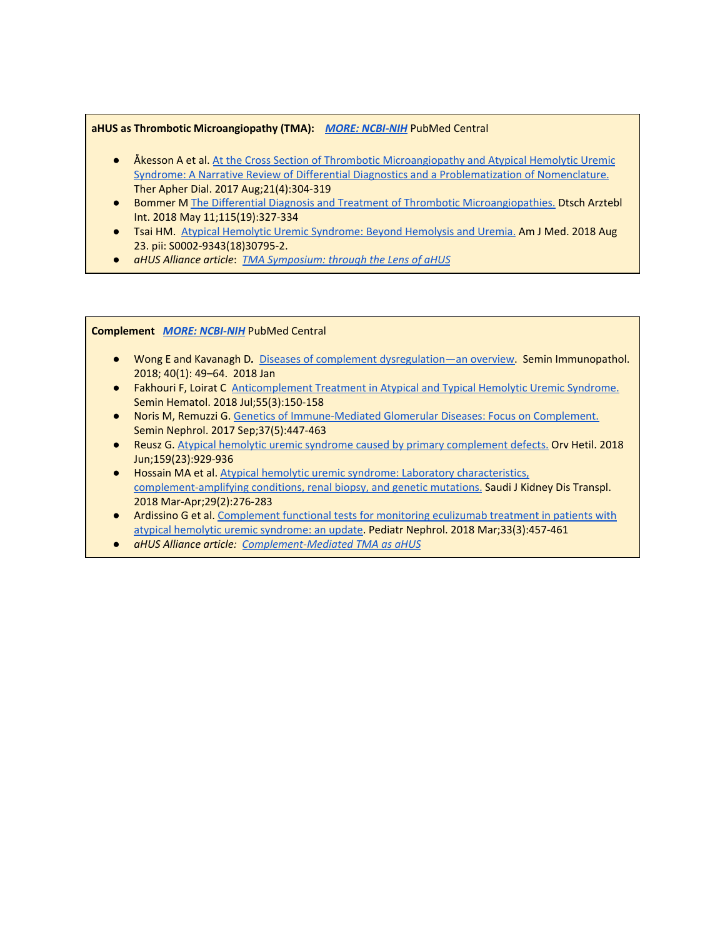#### **aHUS as Thrombotic Microangiopathy (TMA):** *MORE: [NCBI-NIH](https://www.ncbi.nlm.nih.gov/pubmed)* PubMed Central

- Åkesson [A](https://www.ncbi.nlm.nih.gov/pubmed/28508588) et al. At the Cross Section of Thrombotic [Microangiopathy](https://www.ncbi.nlm.nih.gov/pubmed/28508588) and Atypical Hemolytic Uremic Syndrome: A Narrative Review of Differential Diagnostics and a [Problematization](https://www.ncbi.nlm.nih.gov/pubmed/28508588) of Nomenclature. Ther Apher Dial. 2017 Aug;21(4):304-319
- Bommer [M](https://www.ncbi.nlm.nih.gov/pubmed/29875054) The Differential Diagnosis and Treatment of Thrombotic [Microangiopathies.](https://www.ncbi.nlm.nih.gov/pubmed/29875054) Dtsch Arztebl Int. 2018 May 11;115(19):327-334
- Tsai HM. Atypical Hemolytic Uremic [Syndrome:](https://www.ncbi.nlm.nih.gov/pubmed/30145224) Beyond Hemolysis and Uremia. Am J Med. 2018 Aug 23. pii: S0002-9343(18)30795-2.
- *aHUS Alliance article*: *[T](http://www.ahusallianceaction.org/2375-2/)MA [Symposium:](http://www.ahusallianceaction.org/2375-2/) through the Lens of aHUS*

#### **Complement** *MORE: [NCBI-NIH](https://www.ncbi.nlm.nih.gov/pubmed/?term=atypical+hemolytic+uremic+syndrome+and+complement)* PubMed Central

- Wong E and Kavanagh D*.* Diseases of complement [dysregulation—an](https://www.ncbi.nlm.nih.gov/pmc/articles/PMC5794843/) overview. Semin Immunopathol. 2018; 40(1): 49–64. 2018 Jan
- Fakhouri F, Loirat C [Anticomplement](https://www.ncbi.nlm.nih.gov/pubmed/30032752) Treatment in Atypical and Typical Hemolytic Uremic Syndrome. Semin Hematol. 2018 Jul;55(3):150-158
- Noris M, Remuzzi G[.](https://www.ncbi.nlm.nih.gov/pubmed/28863792) Genetics of [Immune-Mediated](https://www.ncbi.nlm.nih.gov/pubmed/28863792) Glomerular Diseases: Focus on Complement. Semin Nephrol. 2017 Sep;37(5):447-463
- Reusz G. Atypical hemolytic uremic syndrome caused by primary [complement](https://www.ncbi.nlm.nih.gov/pubmed/29860884) defects. Orv Hetil. 2018 Jun;159(23):929-936
- Hossain MA et al. Atypical hemolytic uremic syndrome: Laboratory [characteristics,](https://www.ncbi.nlm.nih.gov/pubmed/29657193) [complement-amplifying](https://www.ncbi.nlm.nih.gov/pubmed/29657193) conditions, renal biopsy, and genetic mutations. Saudi J Kidney Dis Transpl. 2018 Mar-Apr;29(2):276-283
- Ardissino G et al. [Complement](https://www.ncbi.nlm.nih.gov/pubmed/29046944) functional tests for monitoring eculizumab treatment in patients with atypical hemolytic uremic [syndrome:](https://www.ncbi.nlm.nih.gov/pubmed/29046944) an update. Pediatr Nephrol. 2018 Mar;33(3):457-461
- *aHUS Alliance article: [Complement-Mediated](http://www.ahusallianceaction.org/__tma/) TMA as aHUS*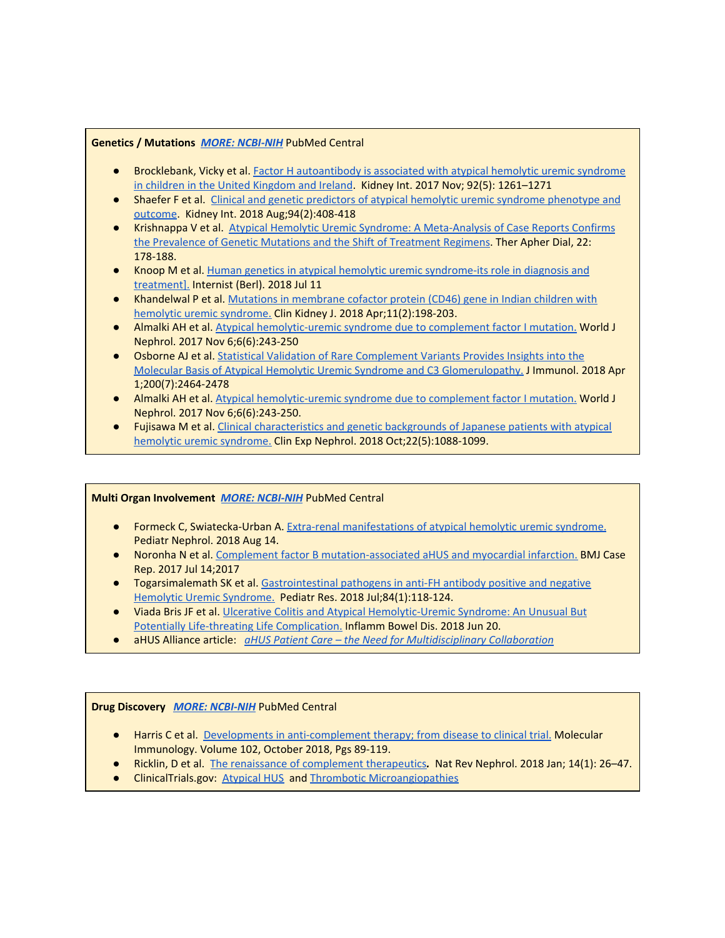#### **Genetics / Mutations** *MORE: [NCBI-NIH](https://www.ncbi.nlm.nih.gov/pubmed/?term=atypical+hemolytic+uremic+syndrome+and+mutations)* PubMed Central

- Brocklebank, Vicky et al. Factor H [autoantibody](https://www.ncbi.nlm.nih.gov/pmc/articles/PMC5652378/) is associated with atypical hemolytic uremic syndrome in children in the United [Kingdom](https://www.ncbi.nlm.nih.gov/pmc/articles/PMC5652378/) and Ireland. Kidney Int. 2017 Nov; 92(5): 1261–1271
- Shaefer F et al. Clinical and genetic predictors of atypical hemolytic uremic syndrome [phenotype](https://www.kidney-international.org/article/S0085-2538(18)30243-6/fulltext) and [outcome](https://www.kidney-international.org/article/S0085-2538(18)30243-6/fulltext). Kidney Int. 2018 Aug;94(2):408-418
- Krishnappa V et al. [A](https://onlinelibrary.wiley.com/doi/full/10.1111/1744-9987.12641)typical Hemolytic Uremic Syndrome: A [Meta-Analysis](https://onlinelibrary.wiley.com/doi/full/10.1111/1744-9987.12641) of Case Reports Confirms the [Prevalence](https://onlinelibrary.wiley.com/doi/full/10.1111/1744-9987.12641) of Genetic Mutations and the Shift of Treatment Regimens. Ther Apher Dial, 22: 178-188.
- Knoop M et al[.](https://www.ncbi.nlm.nih.gov/pubmed/29995248) Human genetics in atypical hemolytic uremic [syndrome-its](https://www.ncbi.nlm.nih.gov/pubmed/29995248) role in diagnosis and [treatment\].](https://www.ncbi.nlm.nih.gov/pubmed/29995248) Internist (Berl). 2018 Jul 11
- Khandelwal P et al. [M](https://www.ncbi.nlm.nih.gov/pubmed/29644059)utations in [membrane](https://www.ncbi.nlm.nih.gov/pubmed/29644059) cofactor protein (CD46) gene in Indian children with hemolytic uremic [syndrome.](https://www.ncbi.nlm.nih.gov/pubmed/29644059) Clin Kidney J. 2018 Apr;11(2):198-203.
- Almalki AH et al. Atypical [hemolytic-uremic](https://www.ncbi.nlm.nih.gov/pubmed/29226095) syndrome due to complement factor I mutation. World J Nephrol. 2017 Nov 6;6(6):243-250
- **Osborne AJ et al.** [S](https://www.ncbi.nlm.nih.gov/pubmed/29500241)tatistical Validation of Rare [Complement](https://www.ncbi.nlm.nih.gov/pubmed/29500241) Variants Provides Insights into the Molecular Basis of Atypical Hemolytic Uremic Syndrome and C3 [Glomerulopathy.](https://www.ncbi.nlm.nih.gov/pubmed/29500241) J Immunol. 2018 Apr 1;200(7):2464-2478
- Almalki AH et al. Atypical [hemolytic-uremic](https://www.ncbi.nlm.nih.gov/pubmed/29226095) syndrome due to complement factor I mutation. World J Nephrol. 2017 Nov 6;6(6):243-250.
- Fujisawa M et al. [C](https://www.ncbi.nlm.nih.gov/pubmed/29511899)linical [characteristics](https://www.ncbi.nlm.nih.gov/pubmed/29511899) and genetic backgrounds of Japanese patients with atypical hemolytic uremic [syndrome.](https://www.ncbi.nlm.nih.gov/pubmed/29511899) Clin Exp Nephrol. 2018 Oct;22(5):1088-1099.

#### **Multi Organ Involvement** *[M](https://www.ncbi.nlm.nih.gov/pubmed/?term=atypical+hemolytic+uremic+syndrome+and+organ+involvement)ORE: [NCBI-NIH](https://www.ncbi.nlm.nih.gov/pubmed/?term=atypical+hemolytic+uremic+syndrome+and+organ+involvement)* PubMed Central

- Formeck C, Swiatecka-Urban A[.](https://www.ncbi.nlm.nih.gov/pubmed/30109445) Extra-renal [manifestations](https://www.ncbi.nlm.nih.gov/pubmed/30109445) of atypical hemolytic uremic syndrome. Pediatr Nephrol. 2018 Aug 14.
- Noronha N et al[.](https://www.ncbi.nlm.nih.gov/pubmed/28710236) Complement factor B [mutation-associated](https://www.ncbi.nlm.nih.gov/pubmed/28710236) aHUS and myocardial infarction. BMJ Case Rep. 2017 Jul 14;2017
- Togarsimalemath SK et al[.](https://www.ncbi.nlm.nih.gov/pubmed/29795200) [Gastrointestinal](https://www.ncbi.nlm.nih.gov/pubmed/29795200) pathogens in anti-FH antibody positive and negative Hemolytic Uremic [Syndrome.](https://www.ncbi.nlm.nih.gov/pubmed/29795200) Pediatr Res. 2018 Jul;84(1):118-124.
- Viada Bris JF et al. Ulcerative Colitis and Atypical [Hemolytic-Uremic](https://www.ncbi.nlm.nih.gov/pubmed/29931191) Syndrome: An Unusual But Potentially Life-threating Life [Complication.](https://www.ncbi.nlm.nih.gov/pubmed/29931191) Inflamm Bowel Dis. 2018 Jun 20.
- aHUS Alliance article: *aHUS Patient Care – the Need for [Multidisciplinary](http://www.ahusallianceaction.org/ahus-patient-care-multidisciplinary-collaboration-translational-medicine/) Collaboration*

#### **Drug Discovery** *MORE: [NCBI-NIH](https://www.ncbi.nlm.nih.gov/pubmed/?term=atypical+hemolytic+uremic+syndrome+therapeutic+drug+research)* PubMed Central

- Harris C et al. [D](https://www.sciencedirect.com/science/article/pii/S0161589018301986?via%3Dihub)evelopments in [anti-complement](https://www.sciencedirect.com/science/article/pii/S0161589018301986?via%3Dihub) therapy; from disease to clinical trial. Molecular Immunology. Volume 102, October 2018, Pgs 89-119.
- Ricklin, D et al. [T](https://www.ncbi.nlm.nih.gov/pmc/articles/PMC5805379/)he renaissance of [complement](https://www.ncbi.nlm.nih.gov/pmc/articles/PMC5805379/) therapeutics*.* Nat Rev Nephrol. 2018 Jan; 14(1): 26–47.
- ClinicalTrials.gov: [Atypical](https://clinicaltrials.gov/ct2/results?cond=Atypical+Hemolytic+Uremic+Syndrome&term=&cntry=&state=&city=&dist=) HUS and Thrombotic [Microangiopathies](https://clinicaltrials.gov/ct2/results?cond=Thrombotic+Microangiopathies&term=&cntry=&state=&city=&dist=)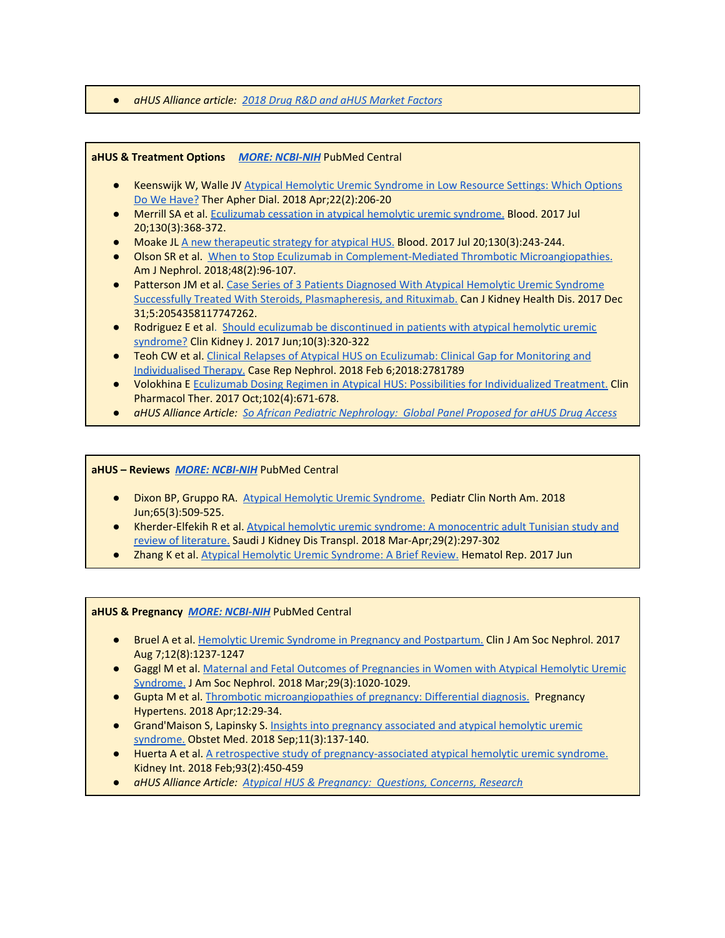#### ● *aHUS Alliance article: [2](http://www.ahusallianceaction.org/atypical-hus-therapeutic-drug-pipeline-in-2018/)018 Drug R&D and aHUS [Market](http://www.ahusallianceaction.org/atypical-hus-therapeutic-drug-pipeline-in-2018/) Factors*

#### **aHUS & Treatment Options** *MORE: [NCBI-NIH](https://www.ncbi.nlm.nih.gov/pubmed/?term=atypical+hemolytic+uremic+syndrome+treatment)* PubMed Central

- Keenswijk W, Walle J[V](https://www.ncbi.nlm.nih.gov/pubmed/29057597) Atypical Hemolytic Uremic [Syndrome](https://www.ncbi.nlm.nih.gov/pubmed/29057597) in Low Resource Settings: Which Options Do We [Have?](https://www.ncbi.nlm.nih.gov/pubmed/29057597) Ther Apher Dial. 2018 Apr;22(2):206-20
- Merrill SA et al. [Eculizumab](https://www.ncbi.nlm.nih.gov/pubmed/28461395) cessation in atypical hemolytic uremic syndrome. Blood. 2017 Jul 20;130(3):368-372.
- Moake J[L](http://www.bloodjournal.org/content/130/3/243.long?sso-checked=true) A new [therapeutic](http://www.bloodjournal.org/content/130/3/243.long?sso-checked=true) strategy for atypical HUS. Blood. 2017 Jul 20;130(3):243-244.
- Olson SR et al. [W](https://www.ncbi.nlm.nih.gov/pubmed/30110670)hen to Stop Eculizumab in [Complement-Mediated](https://www.ncbi.nlm.nih.gov/pubmed/30110670) Thrombotic Microangiopathies. Am J Nephrol. 2018;48(2):96-107.
- Patterson JM et al[.](https://www.ncbi.nlm.nih.gov/pubmed/29308213) Case Series of 3 Patients [Diagnosed](https://www.ncbi.nlm.nih.gov/pubmed/29308213) With Atypical Hemolytic Uremic Syndrome Successfully Treated With Steroids, [Plasmapheresis,](https://www.ncbi.nlm.nih.gov/pubmed/29308213) and Rituximab. Can J Kidney Health Dis. 2017 Dec 31;5:2054358117747262.
- Rodriguez E et al[.](https://www.ncbi.nlm.nih.gov/pubmed/28616209) Should eculizumab be [discontinued](https://www.ncbi.nlm.nih.gov/pubmed/28616209) in patients with atypical hemolytic uremic [syndrome?](https://www.ncbi.nlm.nih.gov/pubmed/28616209) Clin Kidney J. 2017 Jun;10(3):320-322
- Teoh CW et al[.](https://www.ncbi.nlm.nih.gov/pubmed/29552364) Clinical Relapses of Atypical HUS on [Eculizumab:](https://www.ncbi.nlm.nih.gov/pubmed/29552364) Clinical Gap for Monitoring and [Individualised](https://www.ncbi.nlm.nih.gov/pubmed/29552364) Therapy. Case Rep Nephrol. 2018 Feb 6;2018:2781789
- Volokhina [E](https://www.ncbi.nlm.nih.gov/pubmed/28295239) Eculizumab Dosing Regimen in Atypical HUS: Possibilities for [Individualized](https://www.ncbi.nlm.nih.gov/pubmed/28295239) Treatment. Clin Pharmacol Ther. 2017 Oct;102(4):671-678.
- *aHUS Alliance Article: [S](http://www.ahusallianceaction.org/south-african-paediatric-nephrology-perspective-on-eculizumab-therapy-for-atypical-hus-a-global-review-panel-model-for-ahus-drug-access/)o African Pediatric [Nephrology:](http://www.ahusallianceaction.org/south-african-paediatric-nephrology-perspective-on-eculizumab-therapy-for-atypical-hus-a-global-review-panel-model-for-ahus-drug-access/) Global Panel Proposed for aHUS Drug Access*

#### **aHUS – Reviews** *MORE: [NCBI-NIH](https://www.ncbi.nlm.nih.gov/pubmed/?term=atypical+hemolytic+uremic+syndrome+review)* PubMed Central

- Dixon BP, Gruppo R[A](https://www.ncbi.nlm.nih.gov/pubmed/29803280). Atypical Hemolytic Uremic [Syndrome.](https://www.ncbi.nlm.nih.gov/pubmed/29803280) Pediatr Clin North Am. 2018 Jun;65(3):509-525.
- Kherder-Elfekih R et al[.](https://www.ncbi.nlm.nih.gov/pubmed/29657196) Atypical hemolytic uremic syndrome: A [monocentric](https://www.ncbi.nlm.nih.gov/pubmed/29657196) adult Tunisian study and review of [literature.](https://www.ncbi.nlm.nih.gov/pubmed/29657196) Saudi J Kidney Dis Transpl. 2018 Mar-Apr;29(2):297-302
- Zhang K et al. Atypical Hemolytic Uremic [Syndrome:](https://www.ncbi.nlm.nih.gov/pubmed/28626544) A Brief Review. Hematol Rep. 2017 Jun

#### **aHUS & Pregnancy** *MORE: [NCBI-NIH](https://www.ncbi.nlm.nih.gov/pubmed/?term=atypical+hemolytic+uremic+syndrome+pregnancy)* PubMed Central

- Bruel A et al[.](https://www.ncbi.nlm.nih.gov/pubmed/28596415) Hemolytic Uremic Syndrome in Pregnancy and [Postpartum.](https://www.ncbi.nlm.nih.gov/pubmed/28596415) Clin J Am Soc Nephrol. 2017 Aug 7;12(8):1237-1247
- Gaggl [M](https://www.ncbi.nlm.nih.gov/pubmed/29282226) et al. Maternal and Fetal Outcomes of [Pregnancies](https://www.ncbi.nlm.nih.gov/pubmed/29282226) in Women with Atypical Hemolytic Uremic [Syndrome.](https://www.ncbi.nlm.nih.gov/pubmed/29282226) J Am Soc Nephrol. 2018 Mar;29(3):1020-1029.
- Gupta M et al. [T](https://www.ncbi.nlm.nih.gov/pubmed/29674195)hrombotic [microangiopathies](https://www.ncbi.nlm.nih.gov/pubmed/29674195) of pregnancy: Differential diagnosis. Pregnancy Hypertens. 2018 Apr;12:29-34.
- Grand'Maison S, Lapinsky S. [I](https://www.ncbi.nlm.nih.gov/pubmed/30214480)nsights into pregnancy [associated](https://www.ncbi.nlm.nih.gov/pubmed/30214480) and atypical hemolytic uremic [syndrome.](https://www.ncbi.nlm.nih.gov/pubmed/30214480) Obstet Med. 2018 Sep;11(3):137-140.
- Huerta A et al. A retrospective study of [pregnancy-associated](https://www.ncbi.nlm.nih.gov/pubmed/28911789) atypical hemolytic uremic syndrome. Kidney Int. 2018 Feb;93(2):450-459
- *aHUS Alliance Article: [A](http://www.ahusallianceaction.org/ahus-pregnancy-questions-concerns-research/)typical HUS & [Pregnancy:](http://www.ahusallianceaction.org/ahus-pregnancy-questions-concerns-research/) Questions, Concerns, Research*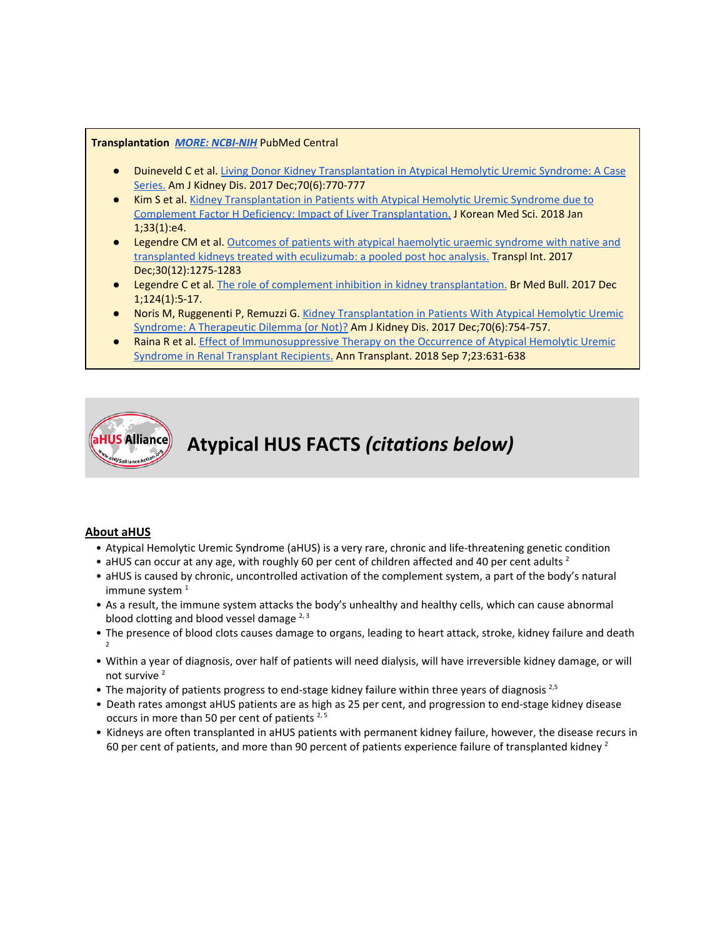#### **Transplantation** *MORE: [NCBI-NIH](https://www.ncbi.nlm.nih.gov/pubmed/?term=atypical+hemolytic+uremic+syndrome+and+transplant)* PubMed Central

- **Duineveld C et al. [L](https://www.ncbi.nlm.nih.gov/pubmed/28821363)iving Donor Kidney [Transplantation](https://www.ncbi.nlm.nih.gov/pubmed/28821363) in Atypical Hemolytic Uremic Syndrome: A Case** [Series.](https://www.ncbi.nlm.nih.gov/pubmed/28821363) Am J Kidney Dis. 2017 Dec;70(6):770-777
- Kim S et al[.](https://www.ncbi.nlm.nih.gov/pubmed/29215813) Kidney [Transplantation](https://www.ncbi.nlm.nih.gov/pubmed/29215813) in Patients with Atypical Hemolytic Uremic Syndrome due to Complement Factor H Deficiency: Impact of Liver [Transplantation.](https://www.ncbi.nlm.nih.gov/pubmed/29215813) J Korean Med Sci. 2018 Jan 1;33(1):e4.
- Legendre CM et al. [O](https://www.ncbi.nlm.nih.gov/pubmed/28801959)utcomes of patients with atypical [haemolytic](https://www.ncbi.nlm.nih.gov/pubmed/28801959) uraemic syndrome with native and [transplanted](https://www.ncbi.nlm.nih.gov/pubmed/28801959) kidneys treated with eculizumab: a pooled post hoc analysis. Transpl Int. 2017 Dec;30(12):1275-1283
- Legendre C et al[.](https://www.ncbi.nlm.nih.gov/pubmed/29069327) The role of complement inhibition in kidney [transplantation.](https://www.ncbi.nlm.nih.gov/pubmed/29069327) Br Med Bull. 2017 Dec 1;124(1):5-17.
- Noris M, Ruggenenti P, Remuzzi G. [K](https://www.ncbi.nlm.nih.gov/pubmed/29169515)idney [Transplantation](https://www.ncbi.nlm.nih.gov/pubmed/29169515) in Patients With Atypical Hemolytic Uremic Syndrome: A [Therapeutic](https://www.ncbi.nlm.nih.gov/pubmed/29169515) Dilemma (or Not)? Am J Kidney Dis. 2017 Dec;70(6):754-757.
- Raina R et al. Effect of [Immunosuppressive](https://www.ncbi.nlm.nih.gov/pubmed/30190449) Therapy on the Occurrence of Atypical Hemolytic Uremic Syndrome in Renal Transplant [Recipients.](https://www.ncbi.nlm.nih.gov/pubmed/30190449) Ann Transplant. 2018 Sep 7;23:631-638



# **Atypical HUS FACTS** *(citations below)*

#### **About aHUS**

- Atypical Hemolytic Uremic Syndrome (aHUS) is a very rare, chronic and life-threatening genetic condition
- aHUS can occur at any age, with roughly 60 per cent of children affected and 40 per cent adults<sup>2</sup>
- aHUS is caused by chronic, uncontrolled activation of the complement system, a part of the body's natural immune system<sup>1</sup>
- As a result, the immune system attacks the body's unhealthy and healthy cells, which can cause abnormal blood clotting and blood vessel damage <sup>2, 3</sup>
- The presence of blood clots causes damage to organs, leading to heart attack, stroke, kidney failure and death 2
- Within a year of diagnosis, over half of patients will need dialysis, will have irreversible kidney damage, or will not survive 2
- The majority of patients progress to end-stage kidney failure within three years of diagnosis<sup>2,5</sup>
- Death rates amongst aHUS patients are as high as 25 per cent, and progression to end-stage kidney disease occurs in more than 50 per cent of patients<sup>2,5</sup>
- Kidneys are often transplanted in aHUS patients with permanent kidney failure, however, the disease recurs in 60 per cent of patients, and more than 90 percent of patients experience failure of transplanted kidney <sup>2</sup>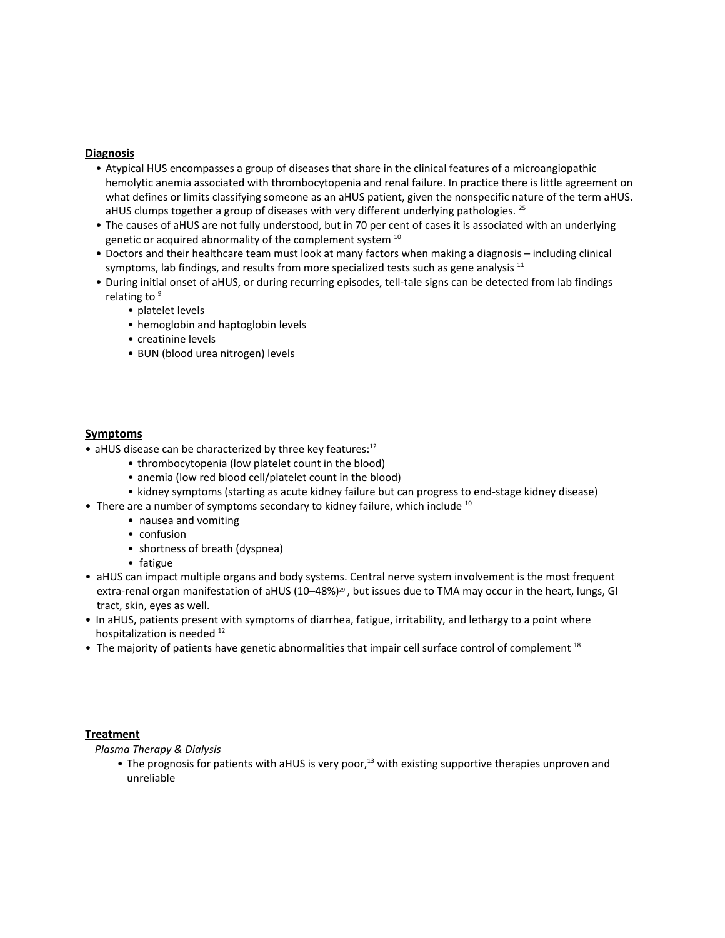#### **Diagnosis**

- Atypical HUS encompasses a group of diseases that share in the clinical features of a microangiopathic hemolytic anemia associated with thrombocytopenia and renal failure. In practice there is little agreement on what defines or limits classifying someone as an aHUS patient, given the nonspecific nature of the term aHUS. aHUS clumps together a group of diseases with very different underlying pathologies. <sup>25</sup>
- The causes of aHUS are not fully understood, but in 70 per cent of cases it is associated with an underlying genetic or acquired abnormality of the complement system <sup>10</sup>
- Doctors and their healthcare team must look at many factors when making a diagnosis including clinical symptoms, lab findings, and results from more specialized tests such as gene analysis  $^{11}$
- During initial onset of aHUS, or during recurring episodes, tell-tale signs can be detected from lab findings relating to<sup>9</sup>
	- platelet levels
	- hemoglobin and haptoglobin levels
	- creatinine levels
	- BUN (blood urea nitrogen) levels

#### **Symptoms**

- aHUS disease can be characterized by three key features:<sup>12</sup>
	- thrombocytopenia (low platelet count in the blood)
	- anemia (low red blood cell/platelet count in the blood)
	- kidney symptoms (starting as acute kidney failure but can progress to end-stage kidney disease)
- There are a number of symptoms secondary to kidney failure, which include  $^{10}$ 
	- nausea and vomiting
	- confusion
	- shortness of breath (dyspnea)
	- fatigue
- aHUS can impact multiple organs and body systems. Central nerve system involvement is the most frequent extra-renal organ manifestation of aHUS (10–48%)<sup>29</sup> , but issues due to TMA may occur in the heart, lungs, GI tract, skin, eyes as well.
- In aHUS, patients present with symptoms of diarrhea, fatigue, irritability, and lethargy to a point where hospitalization is needed <sup>12</sup>
- The majority of patients have genetic abnormalities that impair cell surface control of complement<sup>18</sup>

#### **Treatment**

*Plasma Therapy & Dialysis*

• The prognosis for patients with aHUS is very poor,<sup>13</sup> with existing supportive therapies unproven and unreliable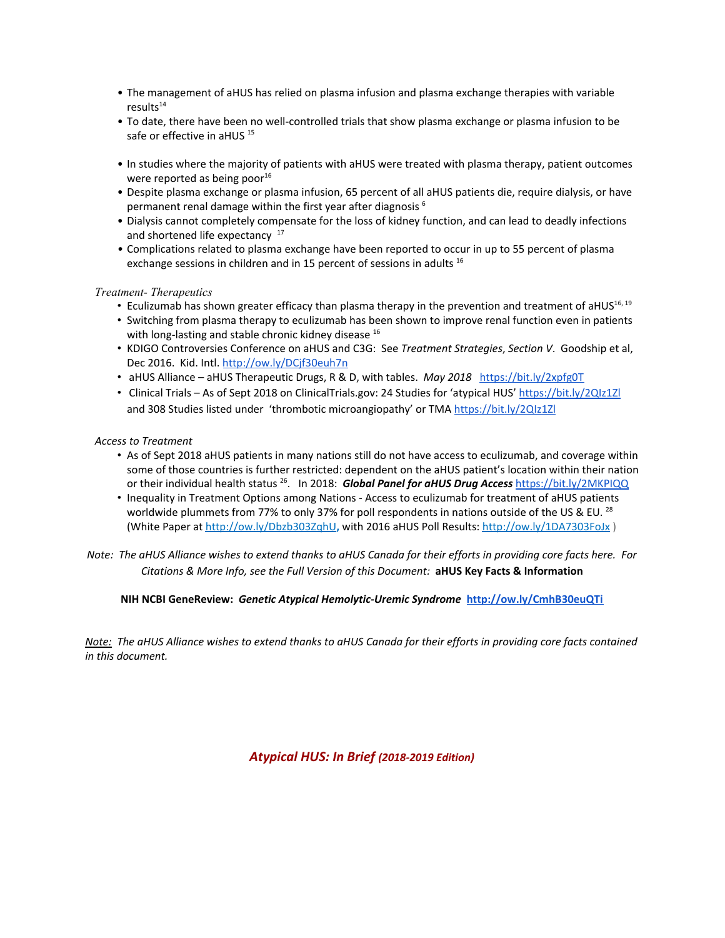- The management of aHUS has relied on plasma infusion and plasma exchange therapies with variable results 14
- To date, there have been no well-controlled trials that show plasma exchange or plasma infusion to be safe or effective in aHUS <sup>15</sup>
- In studies where the majority of patients with aHUS were treated with plasma therapy, patient outcomes were reported as being poor<sup>16</sup>
- Despite plasma exchange or plasma infusion, 65 percent of all aHUS patients die, require dialysis, or have permanent renal damage within the first year after diagnosis 6
- Dialysis cannot completely compensate for the loss of kidney function, and can lead to deadly infections and shortened life expectancy <sup>17</sup>
- *•* Complications related to plasma exchange have been reported to occur in up to 55 percent of plasma exchange sessions in children and in 15 percent of sessions in adults <sup>16</sup>

#### *Treatment- Therapeutics*

- Eculizumab has shown greater efficacy than plasma therapy in the prevention and treatment of aHUS<sup>16, 19</sup>
- Switching from plasma therapy to eculizumab has been shown to improve renal function even in patients with long-lasting and stable chronic kidney disease <sup>16</sup>
- KDIGO Controversies Conference on aHUS and C3G: See *Treatment Strategies*, *Section V*. Goodship et al, Dec 2016. Kid. Intl. <http://ow.ly/DCjf30euh7n>
- aHUS Alliance aHUS Therapeutic Drugs, R & D, with tables. *May 2018* <https://bit.ly/2xpfg0T>
- Clinical Trials As of Sept 2018 on ClinicalTrials.gov: 24 Studies for 'atypical HUS' <https://bit.ly/2QIz1Zl> and 308 Studies listed under 'thrombotic microangiopathy' or TMA <https://bit.ly/2QIz1Zl>

#### *Access to Treatment*

- As of Sept 2018 aHUS patients in many nations still do not have access to eculizumab, and coverage within some of those countries is further restricted: dependent on the aHUS patient's location within their nation or their individual health status 26 . In 2018: *Global Panel for aHUS Drug Access* <https://bit.ly/2MKPIQQ>
- Inequality in Treatment Options among Nations Access to eculizumab for treatment of aHUS patients worldwide plummets from 77% to only 37% for poll respondents in nations outside of the US & EU.  $^{28}$ (White Paper at <http://ow.ly/Dbzb303ZqhU>**,** with 2016 aHUS Poll Results: <http://ow.ly/1DA7303FoJx> )

Note: The aHUS Alliance wishes to extend thanks to aHUS Canada for their efforts in providing core facts here. For *Citations & More Info, see the Full Version of this Document:* **aHUS Key Facts & Information**

#### **NIH NCBI GeneReview:** *Genetic Atypical Hemolytic-Uremic Syndrome* **<http://ow.ly/CmhB30euQTi>**

Note: The aHUS Alliance wishes to extend thanks to aHUS Canada for their efforts in providing core facts contained *in this document.*

*Atypical HUS: In Brief (2018-2019 Edition)*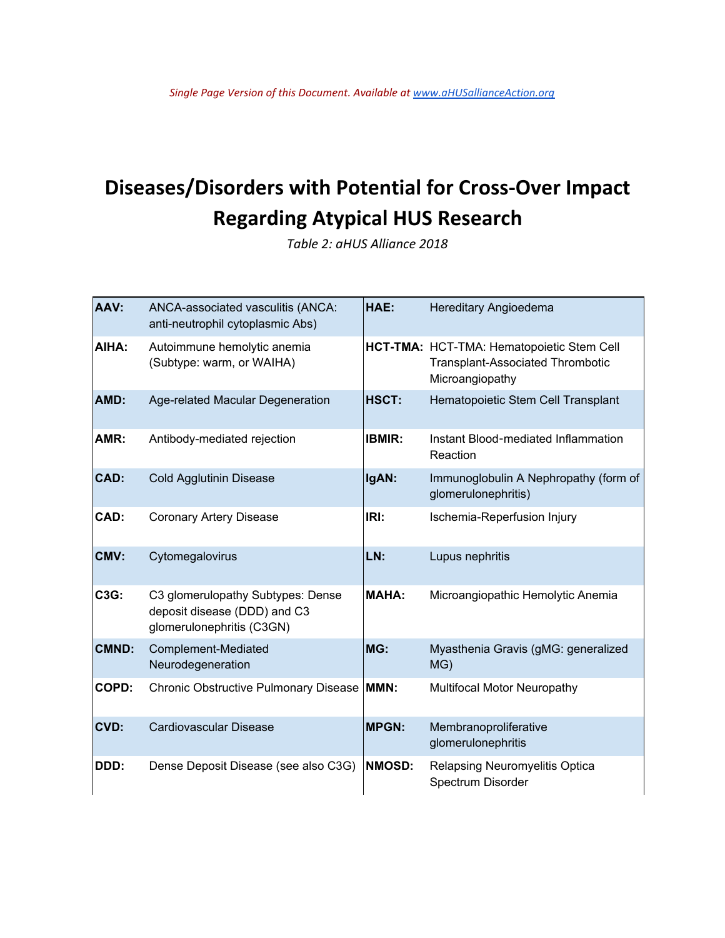# **Diseases/Disorders with Potential for Cross-Over Impact Regarding Atypical HUS Research**

*Table 2: aHUS Alliance 2018*

| AAV:         | ANCA-associated vasculitis (ANCA:<br>anti-neutrophil cytoplasmic Abs)                          | HAE:          | Hereditary Angioedema                                                                                   |
|--------------|------------------------------------------------------------------------------------------------|---------------|---------------------------------------------------------------------------------------------------------|
| AIHA:        | Autoimmune hemolytic anemia<br>(Subtype: warm, or WAIHA)                                       |               | HCT-TMA: HCT-TMA: Hematopoietic Stem Cell<br><b>Transplant-Associated Thrombotic</b><br>Microangiopathy |
| AMD:         | Age-related Macular Degeneration                                                               | HSCT:         | Hematopoietic Stem Cell Transplant                                                                      |
| AMR:         | Antibody-mediated rejection                                                                    | <b>IBMIR:</b> | Instant Blood-mediated Inflammation<br>Reaction                                                         |
| CAD:         | <b>Cold Agglutinin Disease</b>                                                                 | IgAN:         | Immunoglobulin A Nephropathy (form of<br>glomerulonephritis)                                            |
| CAD:         | <b>Coronary Artery Disease</b>                                                                 | IRI:          | Ischemia-Reperfusion Injury                                                                             |
| CMV:         | Cytomegalovirus                                                                                | LN:           | Lupus nephritis                                                                                         |
| C3G:         | C3 glomerulopathy Subtypes: Dense<br>deposit disease (DDD) and C3<br>glomerulonephritis (C3GN) | <b>MAHA:</b>  | Microangiopathic Hemolytic Anemia                                                                       |
| <b>CMND:</b> | Complement-Mediated<br>Neurodegeneration                                                       | MG:           | Myasthenia Gravis (gMG: generalized<br>MG)                                                              |
| <b>COPD:</b> | Chronic Obstructive Pulmonary Disease   MMN:                                                   |               | Multifocal Motor Neuropathy                                                                             |
| CVD:         | Cardiovascular Disease                                                                         | <b>MPGN:</b>  | Membranoproliferative<br>glomerulonephritis                                                             |
| DDD:         | Dense Deposit Disease (see also C3G)                                                           | <b>NMOSD:</b> | Relapsing Neuromyelitis Optica<br>Spectrum Disorder                                                     |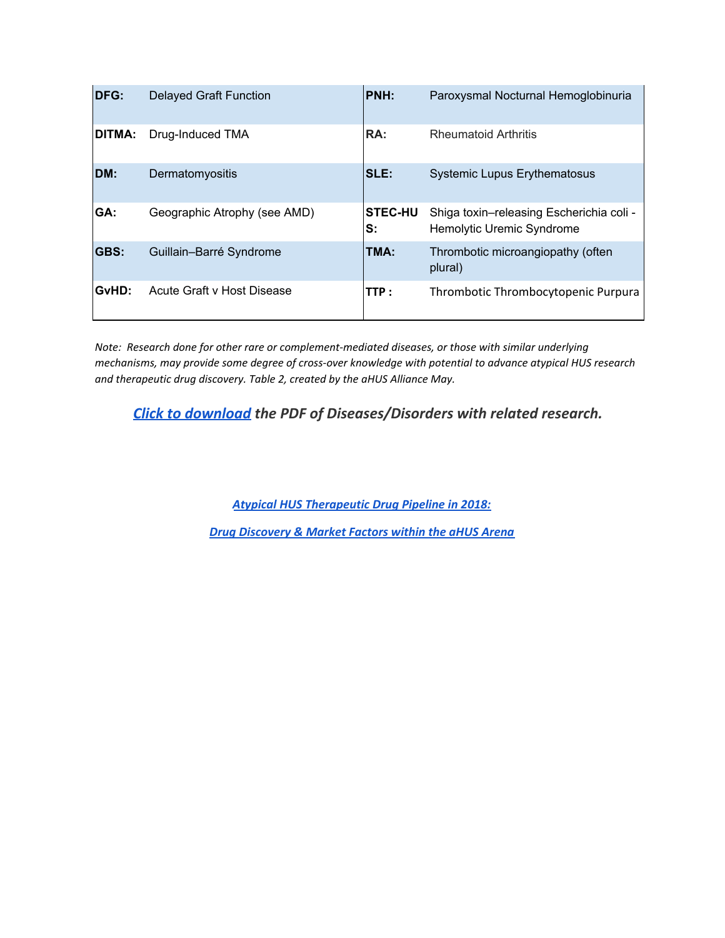| <b>DFG:</b> | <b>Delayed Graft Function</b> | PNH:                 | Paroxysmal Nocturnal Hemoglobinuria                                   |
|-------------|-------------------------------|----------------------|-----------------------------------------------------------------------|
| DITMA:      | Drug-Induced TMA              | RA:                  | <b>Rheumatoid Arthritis</b>                                           |
| DM:         | Dermatomyositis               | SLE:                 | <b>Systemic Lupus Erythematosus</b>                                   |
| GA:         | Geographic Atrophy (see AMD)  | <b>STEC-HU</b><br>S: | Shiga toxin-releasing Escherichia coli -<br>Hemolytic Uremic Syndrome |
| GBS:        | Guillain-Barré Syndrome       | TMA:                 | Thrombotic microangiopathy (often<br>plural)                          |
| GvHD:       | Acute Graft v Host Disease    | TTP:                 | Thrombotic Thrombocytopenic Purpura                                   |

*Note: Research done for other rare or complement-mediated diseases, or those with similar underlying mechanisms, may provide some degree of cross-over knowledge with potential to advance atypical HUS research and therapeutic drug discovery. Table 2, created by the aHUS Alliance May.*

*[Click to download](https://docs.google.com/spreadsheets/d/e/2PACX-1vRK2PskuDJecnAo2NPxclf_kqBh3-jMI_ZcinYIoBz2ZQvCRdirFhSEA562PhiBLwz--dDq_SVdgTxT/pub?output=pdf) the PDF of Diseases/Disorders with related research.*

*Atypical HUS [Therapeutic](http://www.ahusallianceaction.org/atypical-hus-therapeutic-drug-pipeline-in-2018/) Drug Pipeline in 2018:*

*Drug [Discovery](http://www.ahusallianceaction.org/atypical-hus-therapeutic-drug-pipeline-in-2018/) & Market Factors within the aHUS Arena*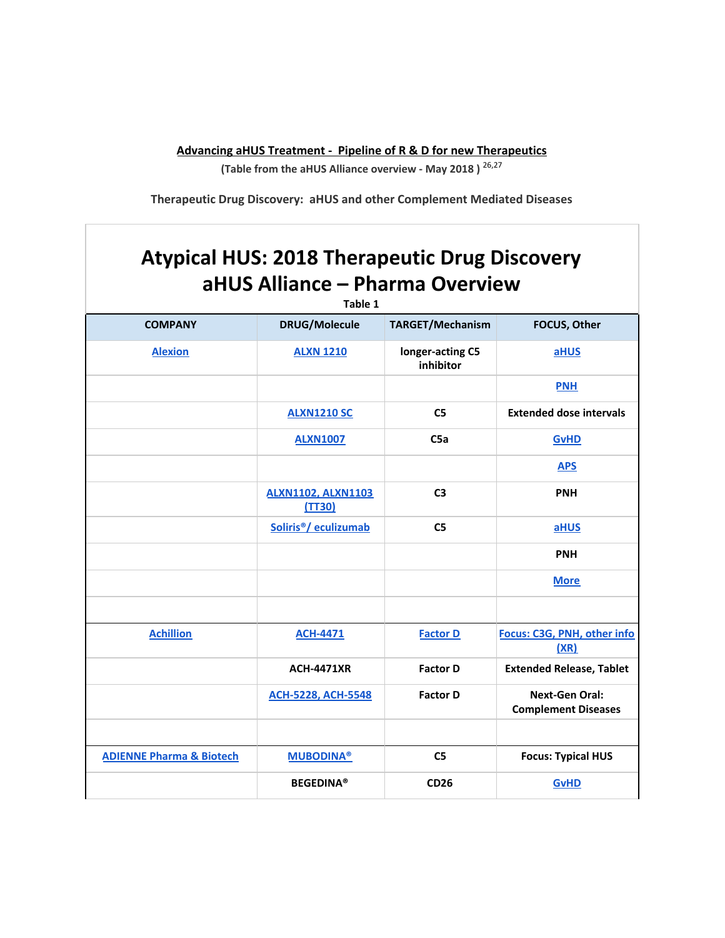**Advancing aHUS Treatment - Pipeline of R & D for new Therapeutics**

**(Table from the aHUS Alliance overview - May 2018 )** 26,27

**Therapeutic Drug Discovery: aHUS and other Complement Mediated Diseases**

# **Atypical HUS: 2018 Therapeutic Drug Discovery aHUS Alliance – Pharma Overview**

| Table 1                             |                                     |                               |                                                     |  |  |
|-------------------------------------|-------------------------------------|-------------------------------|-----------------------------------------------------|--|--|
| <b>COMPANY</b>                      | <b>DRUG/Molecule</b>                | TARGET/Mechanism              | FOCUS, Other                                        |  |  |
| <b>Alexion</b>                      | <b>ALXN 1210</b>                    | longer-acting C5<br>inhibitor | aHUS                                                |  |  |
|                                     |                                     |                               | <b>PNH</b>                                          |  |  |
|                                     | <b>ALXN1210 SC</b>                  | C <sub>5</sub>                | <b>Extended dose intervals</b>                      |  |  |
|                                     | <b>ALXN1007</b>                     | C5a                           | <b>GvHD</b>                                         |  |  |
|                                     |                                     |                               | <b>APS</b>                                          |  |  |
|                                     | <b>ALXN1102, ALXN1103</b><br>(TT30) | C <sub>3</sub>                | <b>PNH</b>                                          |  |  |
|                                     | Soliris <sup>®</sup> / eculizumab   | C <sub>5</sub>                | aHUS                                                |  |  |
|                                     |                                     |                               | <b>PNH</b>                                          |  |  |
|                                     |                                     |                               | <b>More</b>                                         |  |  |
|                                     |                                     |                               |                                                     |  |  |
| <b>Achillion</b>                    | <b>ACH-4471</b>                     | <b>Factor D</b>               | Focus: C3G, PNH, other info<br>(XR)                 |  |  |
|                                     | <b>ACH-4471XR</b>                   | <b>Factor D</b>               | <b>Extended Release, Tablet</b>                     |  |  |
|                                     | <b>ACH-5228, ACH-5548</b>           | <b>Factor D</b>               | <b>Next-Gen Oral:</b><br><b>Complement Diseases</b> |  |  |
|                                     |                                     |                               |                                                     |  |  |
| <b>ADIENNE Pharma &amp; Biotech</b> | <b>MUBODINA®</b>                    | C <sub>5</sub>                | <b>Focus: Typical HUS</b>                           |  |  |
|                                     | <b>BEGEDINA®</b>                    | <b>CD26</b>                   | <b>GvHD</b>                                         |  |  |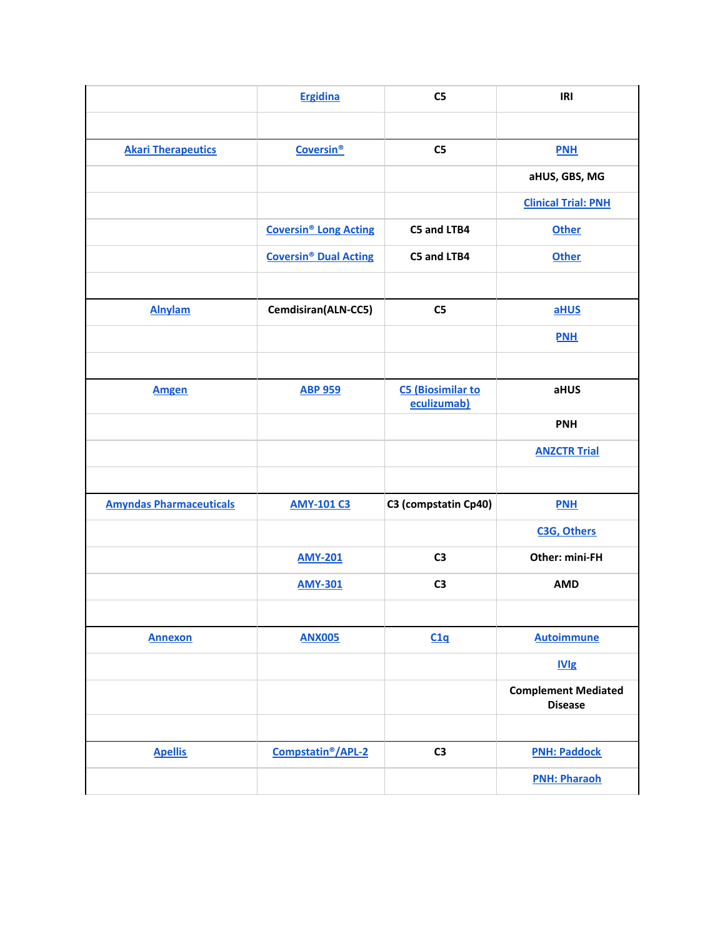|                                | <b>Ergidina</b>                         | C <sub>5</sub>                          | IRI                                          |
|--------------------------------|-----------------------------------------|-----------------------------------------|----------------------------------------------|
|                                |                                         |                                         |                                              |
| <b>Akari Therapeutics</b>      | <b>Coversin®</b>                        | C <sub>5</sub>                          | <b>PNH</b>                                   |
|                                |                                         |                                         | aHUS, GBS, MG                                |
|                                |                                         |                                         | <b>Clinical Trial: PNH</b>                   |
|                                | <b>Coversin<sup>®</sup> Long Acting</b> | C5 and LTB4                             | <b>Other</b>                                 |
|                                | <b>Coversin<sup>®</sup> Dual Acting</b> | C5 and LTB4                             | <b>Other</b>                                 |
|                                |                                         |                                         |                                              |
| <b>Alnylam</b>                 | Cemdisiran(ALN-CC5)                     | C <sub>5</sub>                          | aHUS                                         |
|                                |                                         |                                         | <b>PNH</b>                                   |
|                                |                                         |                                         |                                              |
| <b>Amgen</b>                   | <b>ABP 959</b>                          | <b>C5 (Biosimilar to</b><br>eculizumab) | aHUS                                         |
|                                |                                         |                                         | <b>PNH</b>                                   |
|                                |                                         |                                         | <b>ANZCTR Trial</b>                          |
|                                |                                         |                                         |                                              |
| <b>Amyndas Pharmaceuticals</b> | <b>AMY-101 C3</b>                       | C3 (compstatin Cp40)                    | <b>PNH</b>                                   |
|                                |                                         |                                         | C3G, Others                                  |
|                                | <b>AMY-201</b>                          | C <sub>3</sub>                          | Other: mini-FH                               |
|                                | <b>AMY-301</b>                          | C <sub>3</sub>                          | <b>AMD</b>                                   |
|                                |                                         |                                         |                                              |
| <b>Annexon</b>                 | <b>ANX005</b>                           | C1q                                     | <b>Autoimmune</b>                            |
|                                |                                         |                                         | IVlg                                         |
|                                |                                         |                                         | <b>Complement Mediated</b><br><b>Disease</b> |
|                                |                                         |                                         |                                              |
| <b>Apellis</b>                 | Compstatin <sup>®</sup> /APL-2          | C <sub>3</sub>                          | <b>PNH: Paddock</b>                          |
|                                |                                         |                                         | <b>PNH: Pharaoh</b>                          |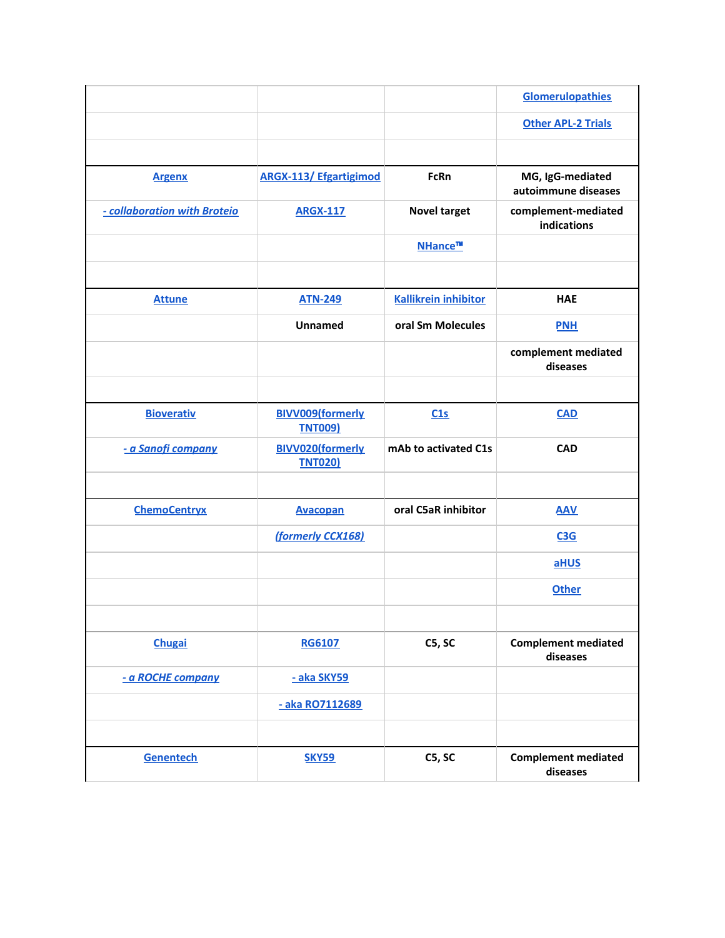|                              |                                           |                             | <b>Glomerulopathies</b>                 |
|------------------------------|-------------------------------------------|-----------------------------|-----------------------------------------|
|                              |                                           |                             | <b>Other APL-2 Trials</b>               |
|                              |                                           |                             |                                         |
| <b>Argenx</b>                | <b>ARGX-113/ Efgartigimod</b>             | FcRn                        | MG, IgG-mediated<br>autoimmune diseases |
| - collaboration with Broteio | <b>ARGX-117</b>                           | <b>Novel target</b>         | complement-mediated<br>indications      |
|                              |                                           | NHance™                     |                                         |
|                              |                                           |                             |                                         |
| <b>Attune</b>                | <b>ATN-249</b>                            | <b>Kallikrein inhibitor</b> | <b>HAE</b>                              |
|                              | Unnamed                                   | oral Sm Molecules           | <b>PNH</b>                              |
|                              |                                           |                             | complement mediated<br>diseases         |
|                              |                                           |                             |                                         |
| <b>Bioverativ</b>            | <b>BIVV009(formerly</b><br><b>TNT009)</b> | C1s                         | <b>CAD</b>                              |
| - a Sanofi company           | <b>BIVV020(formerly</b><br><b>TNT020)</b> | mAb to activated C1s        | <b>CAD</b>                              |
|                              |                                           |                             |                                         |
| <b>ChemoCentryx</b>          | <b>Avacopan</b>                           | oral C5aR inhibitor         | <b>AAV</b>                              |
|                              | (formerly CCX168)                         |                             | C3G                                     |
|                              |                                           |                             | aHUS                                    |
|                              |                                           |                             | <b>Other</b>                            |
|                              |                                           |                             |                                         |
| <b>Chugai</b>                | <b>RG6107</b>                             | C5, SC                      | <b>Complement mediated</b><br>diseases  |
| - a ROCHE company            | - aka SKY59                               |                             |                                         |
|                              | - aka RO7112689                           |                             |                                         |
|                              |                                           |                             |                                         |
| Genentech                    | <b>SKY59</b>                              | C5, SC                      | <b>Complement mediated</b><br>diseases  |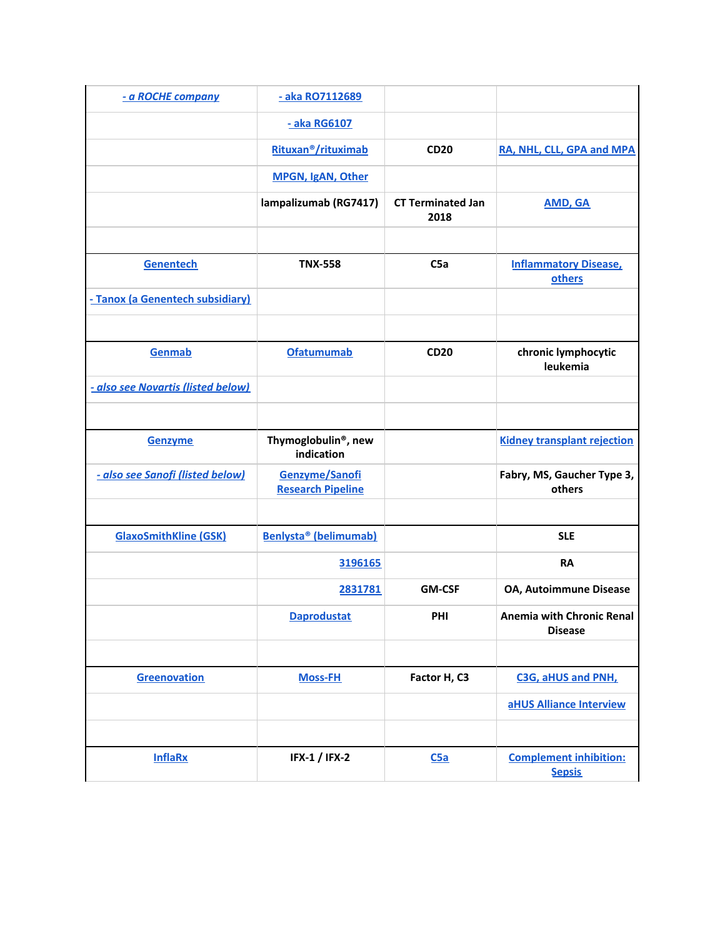| - a ROCHE company                  | - aka RO7112689                                |                                  |                                                |
|------------------------------------|------------------------------------------------|----------------------------------|------------------------------------------------|
|                                    | - aka RG6107                                   |                                  |                                                |
|                                    | Rituxan <sup>®</sup> /rituximab                | <b>CD20</b>                      | RA, NHL, CLL, GPA and MPA                      |
|                                    | MPGN, IgAN, Other                              |                                  |                                                |
|                                    | lampalizumab (RG7417)                          | <b>CT Terminated Jan</b><br>2018 | <b>AMD, GA</b>                                 |
|                                    |                                                |                                  |                                                |
| Genentech                          | <b>TNX-558</b>                                 | C5a                              | <b>Inflammatory Disease,</b><br>others         |
| - Tanox (a Genentech subsidiary)   |                                                |                                  |                                                |
|                                    |                                                |                                  |                                                |
| Genmab                             | <b>Ofatumumab</b>                              | <b>CD20</b>                      | chronic lymphocytic<br>leukemia                |
| - also see Novartis (listed below) |                                                |                                  |                                                |
|                                    |                                                |                                  |                                                |
| <b>Genzyme</b>                     | Thymoglobulin <sup>®</sup> , new<br>indication |                                  | <b>Kidney transplant rejection</b>             |
| - also see Sanofi (listed below)   | Genzyme/Sanofi<br><b>Research Pipeline</b>     |                                  | Fabry, MS, Gaucher Type 3,<br>others           |
|                                    |                                                |                                  |                                                |
| <b>GlaxoSmithKline (GSK)</b>       | Benlysta <sup>®</sup> (belimumab)              |                                  | <b>SLE</b>                                     |
|                                    | 3196165                                        |                                  | <b>RA</b>                                      |
|                                    | 2831781                                        | <b>GM-CSF</b>                    | OA, Autoimmune Disease                         |
|                                    | <b>Daprodustat</b>                             | PHI                              | Anemia with Chronic Renal<br><b>Disease</b>    |
|                                    |                                                |                                  |                                                |
| Greenovation                       | <b>Moss-FH</b>                                 | Factor H, C3                     | C3G, aHUS and PNH,                             |
|                                    |                                                |                                  | aHUS Alliance Interview                        |
|                                    |                                                |                                  |                                                |
| <b>InflaRx</b>                     | <b>IFX-1 / IFX-2</b>                           | C5a                              | <b>Complement inhibition:</b><br><b>Sepsis</b> |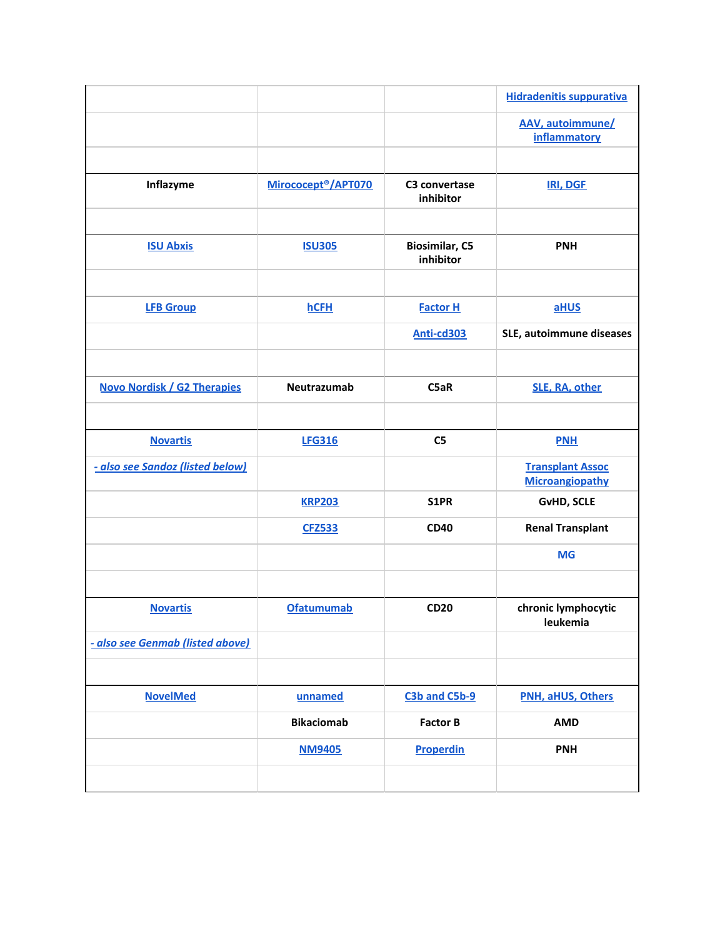|                                    |                                 |                                    | <b>Hidradenitis suppurativa</b>                   |
|------------------------------------|---------------------------------|------------------------------------|---------------------------------------------------|
|                                    |                                 |                                    | AAV, autoimmune/<br><b>inflammatory</b>           |
|                                    |                                 |                                    |                                                   |
| Inflazyme                          | Mirococept <sup>®</sup> /APT070 | C3 convertase<br>inhibitor         | <b>IRI, DGF</b>                                   |
|                                    |                                 |                                    |                                                   |
| <b>ISU Abxis</b>                   | <b>ISU305</b>                   | <b>Biosimilar, C5</b><br>inhibitor | <b>PNH</b>                                        |
|                                    |                                 |                                    |                                                   |
| <b>LFB Group</b>                   | <b>hCFH</b>                     | <b>Factor H</b>                    | aHUS                                              |
|                                    |                                 | Anti-cd303                         | SLE, autoimmune diseases                          |
|                                    |                                 |                                    |                                                   |
| <b>Novo Nordisk / G2 Therapies</b> | Neutrazumab                     | C5aR                               | SLE, RA, other                                    |
|                                    |                                 |                                    |                                                   |
| <b>Novartis</b>                    | <b>LFG316</b>                   | C <sub>5</sub>                     | <b>PNH</b>                                        |
| - also see Sandoz (listed below)   |                                 |                                    | <b>Transplant Assoc</b><br><b>Microangiopathy</b> |
|                                    | <b>KRP203</b>                   | S1PR                               | <b>GvHD, SCLE</b>                                 |
|                                    | <b>CFZ533</b>                   | <b>CD40</b>                        | <b>Renal Transplant</b>                           |
|                                    |                                 |                                    | <b>MG</b>                                         |
|                                    |                                 |                                    |                                                   |
| <b>Novartis</b>                    | <b>Ofatumumab</b>               | <b>CD20</b>                        | chronic lymphocytic<br>leukemia                   |
| - also see Genmab (listed above)   |                                 |                                    |                                                   |
|                                    |                                 |                                    |                                                   |
| <b>NovelMed</b>                    | unnamed                         | C3b and C5b-9                      | PNH, aHUS, Others                                 |
|                                    | <b>Bikaciomab</b>               | <b>Factor B</b>                    | <b>AMD</b>                                        |
|                                    | <b>NM9405</b>                   | <b>Properdin</b>                   | <b>PNH</b>                                        |
|                                    |                                 |                                    |                                                   |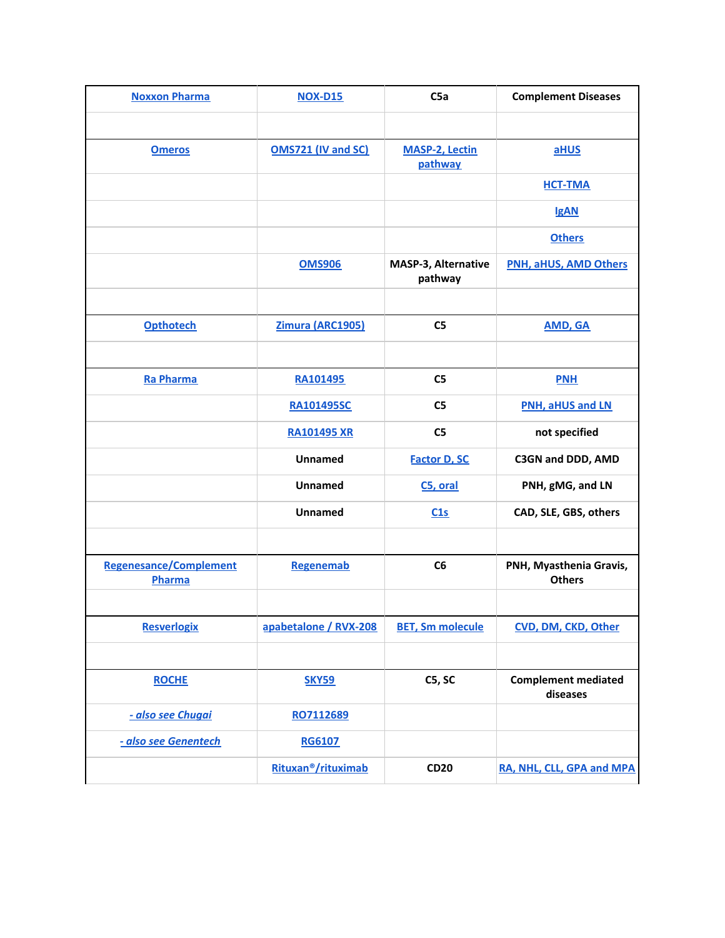| <b>Noxxon Pharma</b>                    | <b>NOX-D15</b>                  | C5a                              | <b>Complement Diseases</b>               |
|-----------------------------------------|---------------------------------|----------------------------------|------------------------------------------|
|                                         |                                 |                                  |                                          |
| <b>Omeros</b>                           | <b>OMS721 (IV and SC)</b>       | <b>MASP-2, Lectin</b><br>pathway | aHUS                                     |
|                                         |                                 |                                  | <b>HCT-TMA</b>                           |
|                                         |                                 |                                  | <b>IgAN</b>                              |
|                                         |                                 |                                  | <b>Others</b>                            |
|                                         | <b>OMS906</b>                   | MASP-3, Alternative<br>pathway   | <b>PNH, aHUS, AMD Others</b>             |
|                                         |                                 |                                  |                                          |
| <b>Opthotech</b>                        | Zimura (ARC1905)                | C <sub>5</sub>                   | <b>AMD, GA</b>                           |
|                                         |                                 |                                  |                                          |
| <b>Ra Pharma</b>                        | RA101495                        | C <sub>5</sub>                   | <b>PNH</b>                               |
|                                         | <b>RA101495SC</b>               | C <sub>5</sub>                   | PNH, aHUS and LN                         |
|                                         | <b>RA101495 XR</b>              | C <sub>5</sub>                   | not specified                            |
|                                         | Unnamed                         | <b>Factor D, SC</b>              | C3GN and DDD, AMD                        |
|                                         | Unnamed                         | C5, oral                         | PNH, gMG, and LN                         |
|                                         | Unnamed                         | C1s                              | CAD, SLE, GBS, others                    |
|                                         |                                 |                                  |                                          |
| <b>Regenesance/Complement</b><br>Pharma | Regenemab                       | C6                               | PNH, Myasthenia Gravis,<br><b>Others</b> |
|                                         |                                 |                                  |                                          |
| <b>Resverlogix</b>                      | apabetalone / RVX-208           | <b>BET, Sm molecule</b>          | CVD, DM, CKD, Other                      |
|                                         |                                 |                                  |                                          |
| <b>ROCHE</b>                            | <b>SKY59</b>                    | C5, SC                           | <b>Complement mediated</b><br>diseases   |
| - also see Chugai                       | RO7112689                       |                                  |                                          |
| - also see Genentech                    | <b>RG6107</b>                   |                                  |                                          |
|                                         | Rituxan <sup>®</sup> /rituximab | <b>CD20</b>                      | RA, NHL, CLL, GPA and MPA                |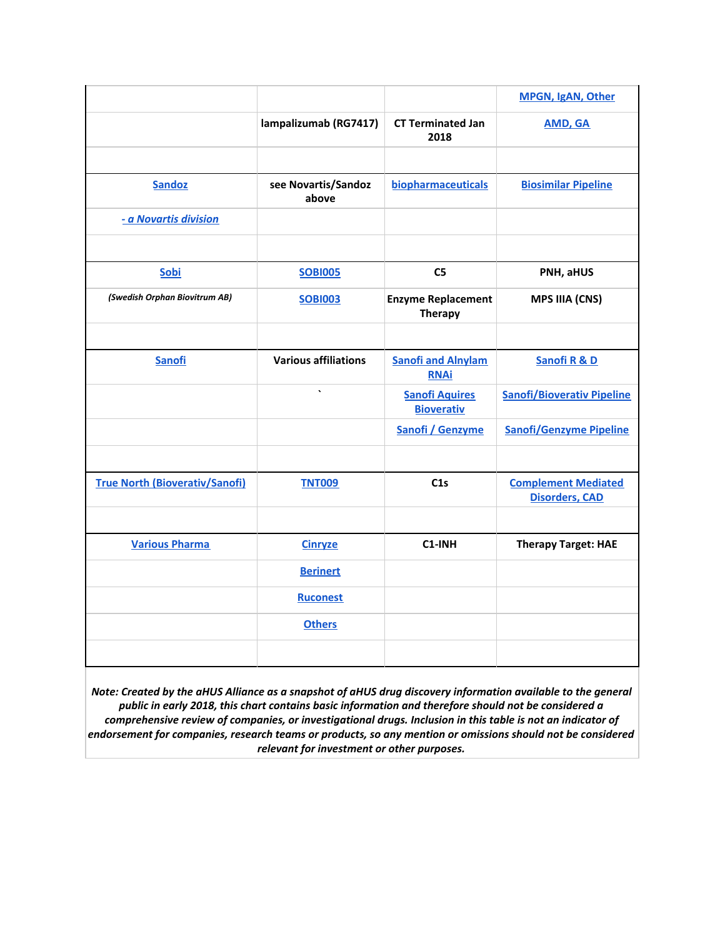|                                       |                              |                                            | MPGN, IgAN, Other                                   |
|---------------------------------------|------------------------------|--------------------------------------------|-----------------------------------------------------|
|                                       | lampalizumab (RG7417)        | <b>CT Terminated Jan</b><br>2018           | <b>AMD, GA</b>                                      |
|                                       |                              |                                            |                                                     |
| <b>Sandoz</b>                         | see Novartis/Sandoz<br>above | biopharmaceuticals                         | <b>Biosimilar Pipeline</b>                          |
| - a Novartis division                 |                              |                                            |                                                     |
|                                       |                              |                                            |                                                     |
| Sobi                                  | <b>SOBI005</b>               | C <sub>5</sub>                             | PNH, aHUS                                           |
| (Swedish Orphan Biovitrum AB)         | <b>SOBI003</b>               | <b>Enzyme Replacement</b><br>Therapy       | <b>MPS IIIA (CNS)</b>                               |
|                                       |                              |                                            |                                                     |
| <b>Sanofi</b>                         | <b>Various affiliations</b>  | <b>Sanofi and Alnylam</b><br><b>RNAi</b>   | Sanofi R & D                                        |
|                                       | $\tilde{\phantom{a}}$        | <b>Sanofi Aquires</b><br><b>Bioverativ</b> | <b>Sanofi/Bioverativ Pipeline</b>                   |
|                                       |                              | Sanofi / Genzyme                           | <b>Sanofi/Genzyme Pipeline</b>                      |
|                                       |                              |                                            |                                                     |
| <b>True North (Bioverativ/Sanofi)</b> | <b>TNT009</b>                | C1s                                        | <b>Complement Mediated</b><br><b>Disorders, CAD</b> |
|                                       |                              |                                            |                                                     |
| <b>Various Pharma</b>                 | <b>Cinryze</b>               | C1-INH                                     | <b>Therapy Target: HAE</b>                          |
|                                       | <b>Berinert</b>              |                                            |                                                     |
|                                       | <b>Ruconest</b>              |                                            |                                                     |
|                                       | <b>Others</b>                |                                            |                                                     |
|                                       |                              |                                            |                                                     |

Note: Created by the aHUS Alliance as a snapshot of aHUS drug discovery information available to the general *public in early 2018, this chart contains basic information and therefore should not be considered a comprehensive review of companies, or investigational drugs. Inclusion in this table is not an indicator of endorsement for companies, research teams or products, so any mention or omissions should not be considered relevant for investment or other purposes.*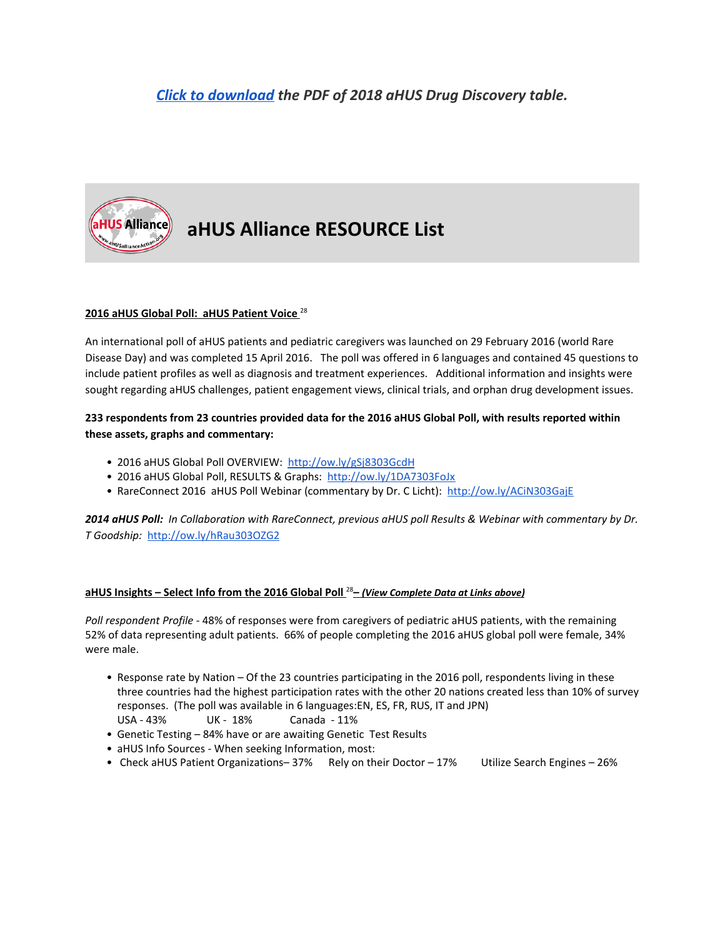# *[Click to download](https://docs.google.com/spreadsheets/d/e/2PACX-1vRtIkuQYMU7c0aPEqnDET7iC9mbt5NSF3dbOb4ieRTjMGeHsv_q1o-i5kmUEnsm2KTh1tIVwd5jdXEe/pub?output=pdf) the PDF of 2018 aHUS Drug Discovery table.*



# **aHUS Alliance RESOURCE List**

# **2016 aHUS Global Poll: aHUS Patient Voice** 28

An international poll of aHUS patients and pediatric caregivers was launched on 29 February 2016 (world Rare Disease Day) and was completed 15 April 2016. The poll was offered in 6 languages and contained 45 questions to include patient profiles as well as diagnosis and treatment experiences. Additional information and insights were sought regarding aHUS challenges, patient engagement views, clinical trials, and orphan drug development issues.

### 233 respondents from 23 countries provided data for the 2016 aHUS Global Poll, with results reported within **these assets, graphs and commentary:**

- 2016 aHUS Global Poll OVERVIEW: <http://ow.ly/gSj8303GcdH>
- 2016 aHUS Global Poll, RESULTS & Graphs: <http://ow.ly/1DA7303FoJx>
- RareConnect 2016 aHUS Poll Webinar (commentary by Dr. C Licht): <http://ow.ly/ACiN303GajE>

2014 aHUS Poll: In Collaboration with RareConnect, previous aHUS poll Results & Webinar with commentary by Dr. *T Goodship:* <http://ow.ly/hRau303OZG2>

# **aHUS Insights – Select Info from the 2016 Global Poll** <sup>28</sup>**–** *(View Complete Data at Links above)*

*Poll respondent Profile* - 48% of responses were from caregivers of pediatric aHUS patients, with the remaining 52% of data representing adult patients. 66% of people completing the 2016 aHUS global poll were female, 34% were male.

- Response rate by Nation Of the 23 countries participating in the 2016 poll, respondents living in these three countries had the highest participation rates with the other 20 nations created less than 10% of survey responses. (The poll was available in 6 languages:EN, ES, FR, RUS, IT and JPN) USA - 43% UK - 18% Canada - 11%
- Genetic Testing 84% have or are awaiting Genetic Test Results
- aHUS Info Sources When seeking Information, most:
- Check aHUS Patient Organizations-37% Rely on their Doctor 17% Utilize Search Engines 26%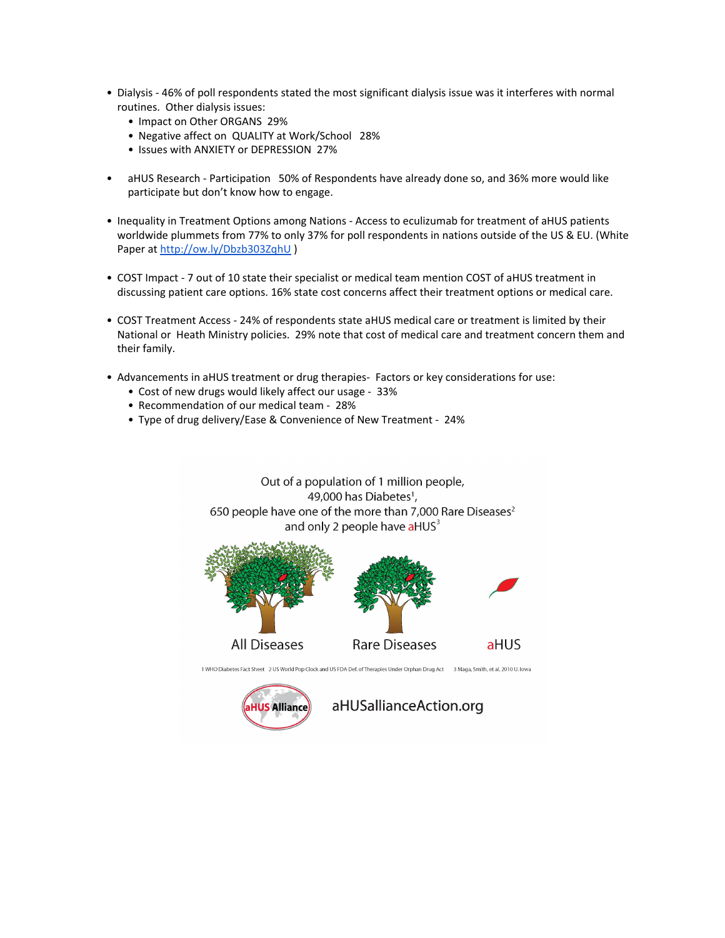- Dialysis 46% of poll respondents stated the most significant dialysis issue was it interferes with normal routines. Other dialysis issues:
	- Impact on Other ORGANS 29%
	- Negative affect on QUALITY at Work/School 28%
	- Issues with ANXIETY or DEPRESSION 27%
- aHUS Research Participation 50% of Respondents have already done so, and 36% more would like participate but don't know how to engage.
- Inequality in Treatment Options among Nations Access to eculizumab for treatment of aHUS patients worldwide plummets from 77% to only 37% for poll respondents in nations outside of the US & EU. (White Paper at <http://ow.ly/Dbzb303ZqhU> )
- COST Impact 7 out of 10 state their specialist or medical team mention COST of aHUS treatment in discussing patient care options. 16% state cost concerns affect their treatment options or medical care.
- COST Treatment Access 24% of respondents state aHUS medical care or treatment is limited by their National or Heath Ministry policies. 29% note that cost of medical care and treatment concern them and their family.
- Advancements in aHUS treatment or drug therapies- Factors or key considerations for use:
	- Cost of new drugs would likely affect our usage 33%
	- Recommendation of our medical team 28%
	- Type of drug delivery/Ease & Convenience of New Treatment 24%

Out of a population of 1 million people, 49,000 has Diabetes<sup>1</sup>, 650 people have one of the more than 7,000 Rare Diseases<sup>2</sup> and only 2 people have aHUS<sup>3</sup> **All Diseases Rare Diseases** aHUS 1 WHO Diabetes Fact Sheet 2 US World Pop Clock and US FDA Def. of Therapies Under Orphan Drug Act 3 Maga, Smith, et al, 2010 U. Iowa aHUSallianceAction.org **HUS Alliance**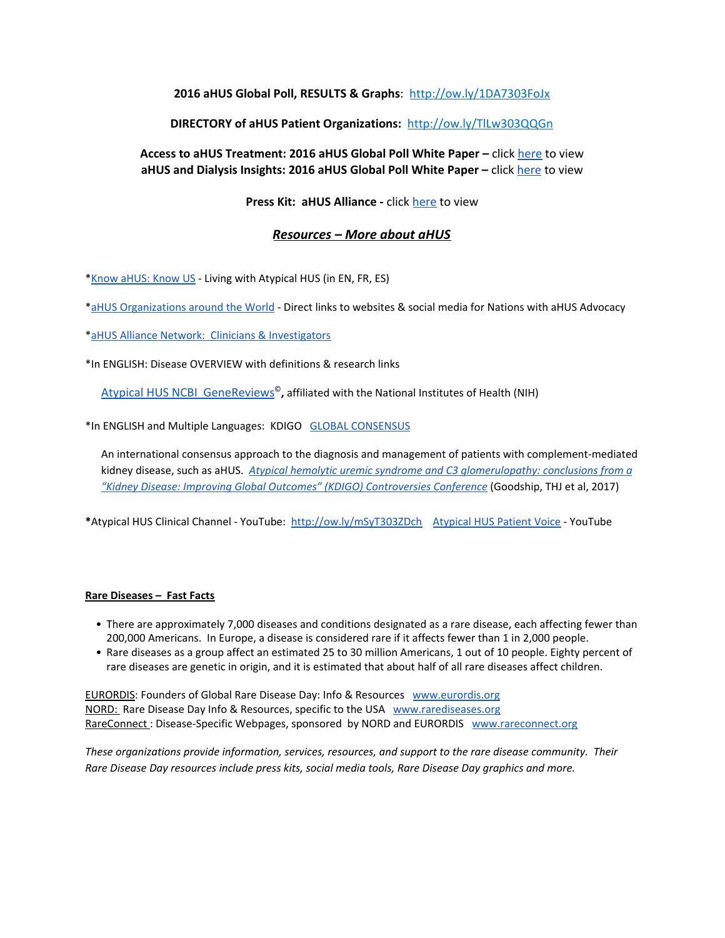# **2016 aHUS Global Poll, RESULTS & Graphs**: <http://ow.ly/1DA7303FoJx>

## **DIRECTORY of aHUS Patient Organizations:** <http://ow.ly/TlLw303QQGn>

## **Access to aHUS Treatment: 2016 aHUS Global Poll White Paper –** click [here](http://www.ahusallianceaction.org/wp-content/uploads/2016/05/Access-to-aHUS-Treatment.pdf) to view **aHUS and Dialysis Insights: 2016 aHUS Global Poll White Paper –** click [here](http://www.ahusallianceaction.org/wp-content/uploads/2016/08/aHUS-and-Dialysis-Insights-.pdf) to view

### **Press Kit: aHUS Alliance -** click [here](http://www.ahusallianceaction.org/ahus-alliance-press-kit/) to view

### *Resources – More about aHUS*

\*Know [aHUS:](http://www.ahusallianceaction.org/know-ahus-know-us/) Know US - Living with Atypical HUS (in EN, FR, ES)

\*aHUS [Organizations](http://www.ahusallianceaction.org/patient-associations/) around the World - Direct links to websites & social media for Nations with aHUS Advocacy

\*aHUS Alliance Network: Clinicians & [Investigators](http://ww.ahusallianceaction.org/ahus-clinicians-investigators/)

\*In ENGLISH: Disease OVERVIEW with definitions & research links

Atypical HUS NCBI [GeneReviews](http://www.ncbi.nlm.nih.gov/books/NBK1367/) © **,** affiliated with the National Institutes of Health (NIH)

\*In ENGLISH and Multiple Languages: KDIGO GLOBAL [CONSENSUS](http://kdigo.org/home/conferences/complement-mediated-kidney-diseases/)

An international consensus approach to the diagnosis and management of patients with complement-mediated kidney disease, such as aHUS. *Atypical hemolytic uremic syndrome and C3 [glomerulopathy:](http://www.kidney-international.org/article/S0085-2538(16)30604-4/fulltext) conclusions from a "Kidney Disease: Improving Global Outcomes" (KDIGO) [Controversies](http://www.kidney-international.org/article/S0085-2538(16)30604-4/fulltext) Conference* (Goodship, THJ et al, 2017)

**\***Atypical HUS Clinical Channel - YouTube: <http://ow.ly/mSyT303ZDch> [Atypical](https://www.youtube.com/channel/UCChTJWJDz5TiiLxR8AtX6bA/playlists) HUS Patient Voice - YouTube

#### **Rare Diseases – Fast Facts**

- There are approximately 7,000 diseases and conditions designated as a rare disease, each affecting fewer than 200,000 Americans. In Europe, a disease is considered rare if it affects fewer than 1 in 2,000 people.
- Rare diseases as a group affect an estimated 25 to 30 million Americans, 1 out of 10 people. Eighty percent of rare diseases are genetic in origin, and it is estimated that about half of all rare diseases affect children.

**[EURORDIS:](http://www.rarediseaseday.org/)** Founders of Global Rare Disease Day: Info & Resources [www.eurordis.org](http://www.eurordis.org/) [NORD:](http://rarediseaseday.us/) Rare Disease Day Info & Resources, specific to the USA [www.rarediseases.org](http://www.rarediseases.org/) [RareConnect](https://www.rareconnect.org/en): Disease-Specific Webpages, sponsored by NORD and EURORDIS [www.rareconnect.org](http://www.rareconnect.org/)

*These organizations provide information, services, resources, and support to the rare disease community. Their Rare Disease Day resources include press kits, social media tools, Rare Disease Day graphics and more.*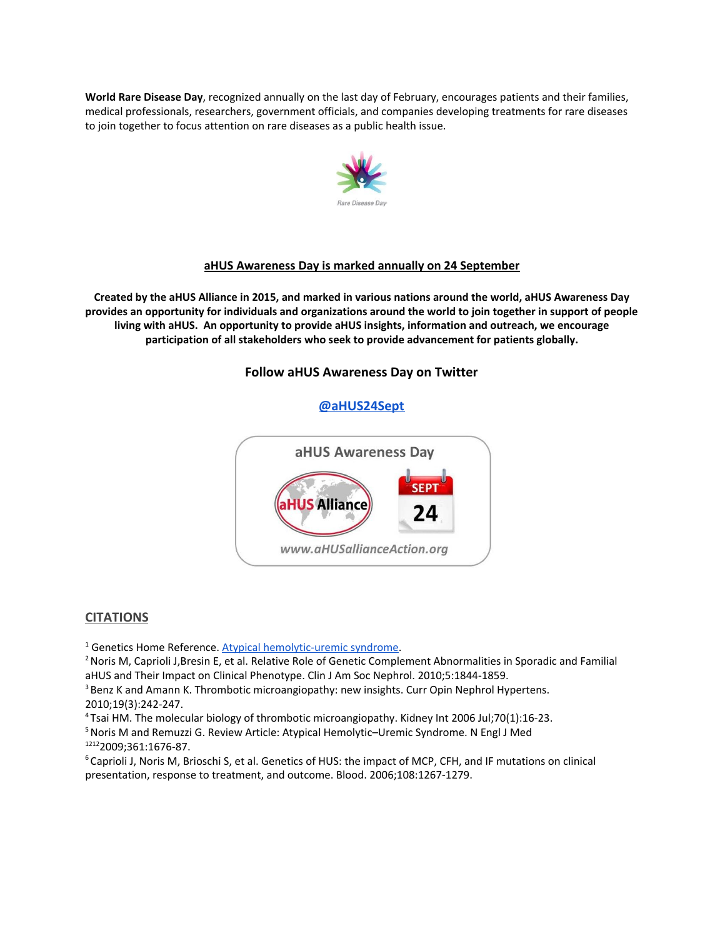**World Rare Disease Day**, recognized annually on the last day of February, encourages patients and their families, medical professionals, researchers, government officials, and companies developing treatments for rare diseases to join together to focus attention on rare diseases as a public health issue.



#### **aHUS Awareness Day is marked annually on 24 September**

Created by the aHUS Alliance in 2015, and marked in various nations around the world, aHUS Awareness Day provides an opportunity for individuals and organizations around the world to join together in support of people **living with aHUS. An opportunity to provide aHUS insights, information and outreach, we encourage participation of all stakeholders who seek to provide advancement for patients globally.**

## **Follow aHUS Awareness Day on Twitter**

#### **[@aHUS24Sept](https://twitter.com/aHUS24Sept)**



#### **CITATIONS**

<sup>1</sup> Genetics Home Reference. Atypical [hemolytic-uremic](http://ghr.nlm.nih.gov/condition/atypical-hemolytic-uremic-syndrome) syndrome.

<sup>2</sup> Noris M, Caprioli J,Bresin E, et al. Relative Role of Genetic Complement Abnormalities in Sporadic and Familial aHUS and Their Impact on Clinical Phenotype. Clin J Am Soc Nephrol. 2010;5:1844-1859.

<sup>3</sup> Benz K and Amann K. Thrombotic microangiopathy: new insights. Curr Opin Nephrol Hypertens. 2010;19(3):242-247.

<sup>4</sup>Tsai HM. The molecular biology of thrombotic microangiopathy. Kidney Int 2006 Jul;70(1):16-23.

<sup>5</sup> Noris M and Remuzzi G. Review Article: Atypical Hemolytic–Uremic Syndrome. N Engl J Med <sup>1212</sup>2009;361:1676-87.

<sup>6</sup>Caprioli J, Noris M, Brioschi S, et al. Genetics of HUS: the impact of MCP, CFH, and IF mutations on clinical presentation, response to treatment, and outcome. Blood. 2006;108:1267-1279.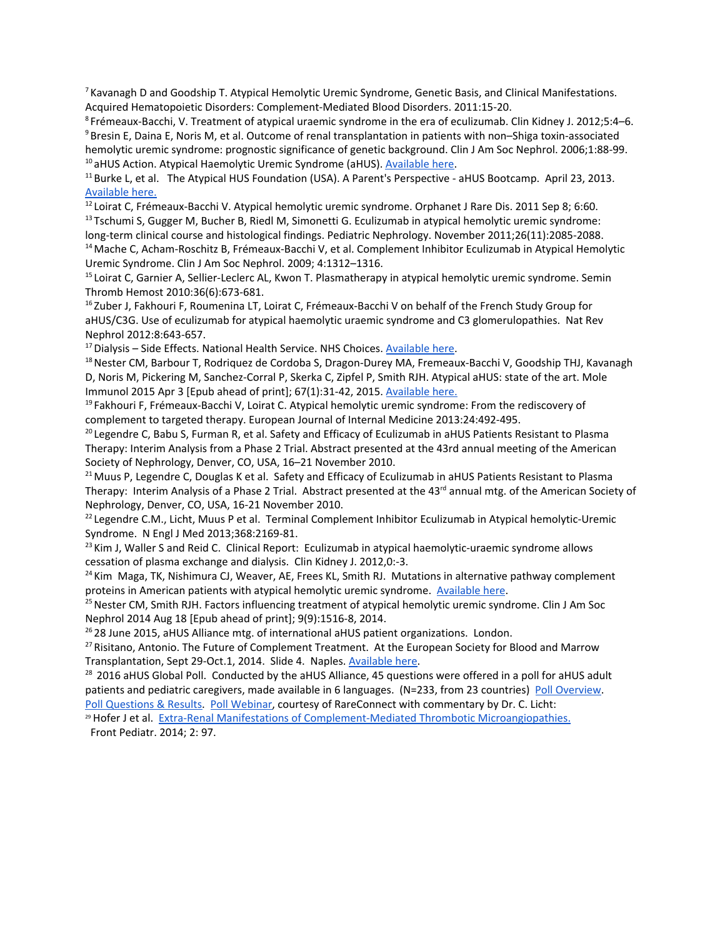<sup>7</sup> Kavanagh D and Goodship T. Atypical Hemolytic Uremic Syndrome, Genetic Basis, and Clinical Manifestations. Acquired Hematopoietic Disorders: Complement-Mediated Blood Disorders. 2011:15-20.

<sup>8</sup>Frémeaux-Bacchi, V. Treatment of atypical uraemic syndrome in the era of eculizumab. Clin Kidney J. 2012;5:4–6. <sup>9</sup>Bresin E, Daina E, Noris M, et al. Outcome of renal transplantation in patients with non–Shiga toxin-associated hemolytic uremic syndrome: prognostic significance of genetic background. Clin J Am Soc Nephrol. 2006;1:88-99. <sup>10</sup> aHUS Action. Atypical Haemolytic Uremic Syndrome (aHUS). [Available](http://www.ahus-action.org/wp-content/uploads/2011/10/aHUS-Action-Briefing-for-Parliamentarians-FINAL.pdf) here.

<sup>11</sup> Burke L, et al. The Atypical HUS Foundation (USA). A Parent's Perspective - aHUS Bootcamp. April 23, 2013. [Available](https://www.rareconnect.org/uploads/documents/a-parent-s-perspective-ahus-bootcamp.pdf) here.

<sup>12</sup> Loirat C, Frémeaux-Bacchi V. Atypical hemolytic uremic syndrome. Orphanet J Rare Dis. 2011 Sep 8; 6:60. <sup>13</sup> Tschumi S, Gugger M, Bucher B, Riedl M, Simonetti G. Eculizumab in atypical hemolytic uremic syndrome:

long-term clinical course and histological findings. Pediatric Nephrology. November 2011;26(11):2085-2088. <sup>14</sup> Mache C, Acham-Roschitz B, Frémeaux-Bacchi V, et al. Complement Inhibitor Eculizumab in Atypical Hemolytic Uremic Syndrome. Clin J Am Soc Nephrol. 2009; 4:1312–1316.

<sup>15</sup> Loirat C, Garnier A, Sellier-Leclerc AL, Kwon T. Plasmatherapy in atypical hemolytic uremic syndrome. Semin Thromb Hemost 2010:36(6):673-681.

<sup>16</sup> Zuber J, Fakhouri F, Roumenina LT, Loirat C, Frémeaux-Bacchi V on behalf of the French Study Group for aHUS/C3G. Use of eculizumab for atypical haemolytic uraemic syndrome and C3 glomerulopathies. Nat Rev Nephrol 2012:8:643-657.

 $17$  Dialysis – Side Effects. National Health Service. NHS Choices. [Available](http://www.nhs.uk/Conditions/dialysis/Pages/side-effects.aspx) here.

<sup>18</sup> Nester CM, Barbour T, Rodriquez de Cordoba S, Dragon-Durey MA, Fremeaux-Bacchi V, Goodship THJ, Kavanagh D, Noris M, Pickering M, Sanchez-Corral P, Skerka C, Zipfel P, Smith RJH. Atypical aHUS: state of the art. Mole Immunol 2015 Apr 3 [Epub ahead of print]; 67(1):31-42, 2015. [Available](http://www.sciencedirect.com/science/article/pii/S0161589015003508) here.

<sup>19</sup> Fakhouri F, Frémeaux-Bacchi V, Loirat C. Atypical hemolytic uremic syndrome: From the rediscovery of complement to targeted therapy. European Journal of Internal Medicine 2013:24:492-495.

<sup>20</sup> Legendre C, Babu S, Furman R, et al. Safety and Efficacy of Eculizumab in aHUS Patients Resistant to Plasma Therapy: Interim Analysis from a Phase 2 Trial. Abstract presented at the 43rd annual meeting of the American Society of Nephrology, Denver, CO, USA, 16–21 November 2010.

<sup>21</sup> Muus P, Legendre C, Douglas K et al. Safety and Efficacy of Eculizumab in aHUS Patients Resistant to Plasma Therapy: Interim Analysis of a Phase 2 Trial. Abstract presented at the 43<sup>rd</sup> annual mtg. of the American Society of Nephrology, Denver, CO, USA, 16-21 November 2010.

 $22$  Legendre C.M., Licht, Muus P et al. Terminal Complement Inhibitor Eculizumab in Atypical hemolytic-Uremic Syndrome. N Engl J Med 2013;368:2169-81.

 $23$  Kim J, Waller S and Reid C. Clinical Report: Eculizumab in atypical haemolytic-uraemic syndrome allows cessation of plasma exchange and dialysis. Clin Kidney J. 2012,0:-3.

 $24$  Kim Maga, TK, Nishimura CJ, Weaver, AE, Frees KL, Smith RJ. Mutations in alternative pathway complement proteins in American patients with atypical hemolytic uremic syndrome. [Available](http://www.ncbi.nlm.nih.gov/pubmed/20513133) here.

<sup>25</sup> Nester CM, Smith RJH. Factors influencing treatment of atypical hemolytic uremic syndrome. Clin J Am Soc Nephrol 2014 Aug 18 [Epub ahead of print]; 9(9):1516-8, 2014.

 $2628$  June 2015, aHUS Alliance mtg. of international aHUS patient organizations. London.

 $27$  Risitano, Antonio. The Future of Complement Treatment. At the European Society for Blood and Marrow Transplantation, Sept 29-Oct.1, 2014. Slide 4. Naples. [Available](http://www.ebmt.org/Contents/Resources/Library/Slidebank/AAIDcourse2014/Documents/22%20Risitano%20EBMT%20Naples%20PNH%20v3%20x%20Dan.pdf) here.

<sup>28</sup> 2016 aHUS Global Poll. Conducted by the aHUS Alliance, 45 questions were offered in a poll for aHUS adult patients and pediatric caregivers, made available in 6 languages. (N=233, from 23 countries) Poll [Overview.](http://ow.ly/gSj8303GcdH) Poll [Questions](http://ow.ly/1DA7303FoJx) & Results. Poll [Webinar,](http://ow.ly/ACiN303GajE) courtesy of RareConnect with commentary by Dr. C. Licht:

<sup>29</sup> Hofer J et al. Extra-Renal Manifestations of [Complement-Mediated](https://www.ncbi.nlm.nih.gov/pmc/articles/PMC4157546/) Thrombotic Microangiopathies. Front Pediatr. 2014; 2: 97.